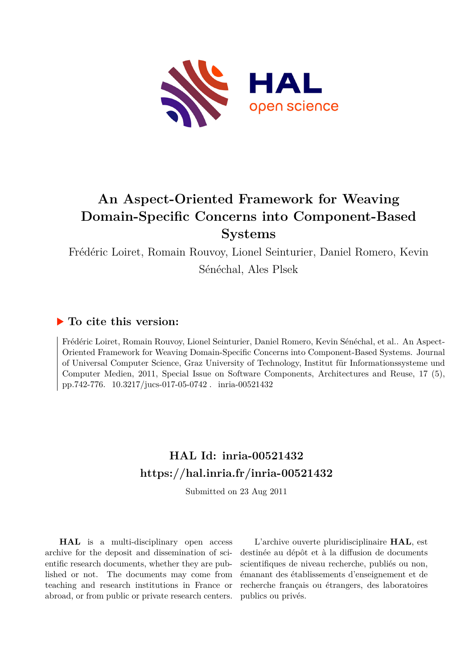

# **An Aspect-Oriented Framework for Weaving Domain-Specific Concerns into Component-Based Systems**

Frédéric Loiret, Romain Rouvoy, Lionel Seinturier, Daniel Romero, Kevin

Sénéchal, Ales Plsek

### **To cite this version:**

Frédéric Loiret, Romain Rouvoy, Lionel Seinturier, Daniel Romero, Kevin Sénéchal, et al.. An Aspect-Oriented Framework for Weaving Domain-Specific Concerns into Component-Based Systems. Journal of Universal Computer Science, Graz University of Technology, Institut für Informationssysteme und Computer Medien, 2011, Special Issue on Software Components, Architectures and Reuse, 17 (5), pp.742-776. 10.3217/jucs-017-05-0742. inria-00521432

## **HAL Id: inria-00521432 <https://hal.inria.fr/inria-00521432>**

Submitted on 23 Aug 2011

**HAL** is a multi-disciplinary open access archive for the deposit and dissemination of scientific research documents, whether they are published or not. The documents may come from teaching and research institutions in France or abroad, or from public or private research centers.

L'archive ouverte pluridisciplinaire **HAL**, est destinée au dépôt et à la diffusion de documents scientifiques de niveau recherche, publiés ou non, émanant des établissements d'enseignement et de recherche français ou étrangers, des laboratoires publics ou privés.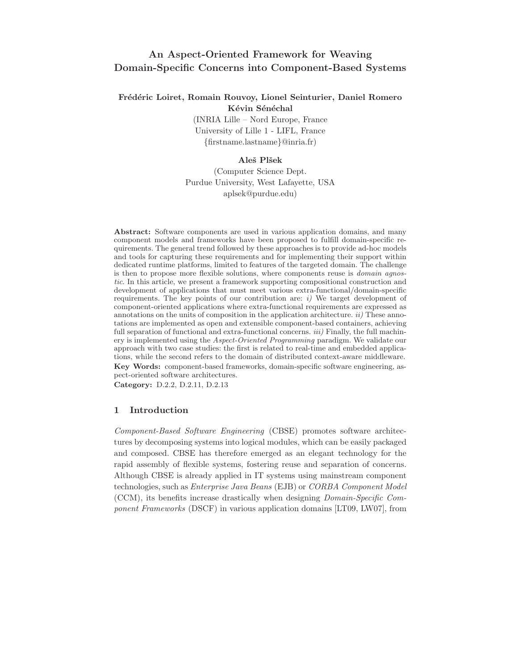### **An Aspect-Oriented Framework for Weaving Domain-Specific Concerns into Component-Based Systems**

#### **Fr´ed´eric Loiret, Romain Rouvoy, Lionel Seinturier, Daniel Romero Kévin Sénéchal**

(INRIA Lille – Nord Europe, France University of Lille 1 - LIFL, France *{*firstname.lastname*}*@inria.fr)

#### **Aleˇs Plˇsek**

(Computer Science Dept. Purdue University, West Lafayette, USA aplsek@purdue.edu)

**Abstract:** Software components are used in various application domains, and many component models and frameworks have been proposed to fulfill domain-specific requirements. The general trend followed by these approaches is to provide ad-hoc models and tools for capturing these requirements and for implementing their support within dedicated runtime platforms, limited to features of the targeted domain. The challenge is then to propose more flexible solutions, where components reuse is *domain agnostic*. In this article, we present a framework supporting compositional construction and development of applications that must meet various extra-functional/domain-specific requirements. The key points of our contribution are: *i)* We target development of component-oriented applications where extra-functional requirements are expressed as annotations on the units of composition in the application architecture. *ii)* These annotations are implemented as open and extensible component-based containers, achieving full separation of functional and extra-functional concerns. *iii)* Finally, the full machinery is implemented using the *Aspect-Oriented Programming* paradigm. We validate our approach with two case studies: the first is related to real-time and embedded applications, while the second refers to the domain of distributed context-aware middleware. **Key Words:** component-based frameworks, domain-specific software engineering, aspect-oriented software architectures.

**Category:** D.2.2, D.2.11, D.2.13

#### **1 Introduction**

*Component-Based Software Engineering* (CBSE) promotes software architectures by decomposing systems into logical modules, which can be easily packaged and composed. CBSE has therefore emerged as an elegant technology for the rapid assembly of flexible systems, fostering reuse and separation of concerns. Although CBSE is already applied in IT systems using mainstream component technologies, such as *Enterprise Java Beans* (EJB) or *CORBA Component Model* (CCM), its benefits increase drastically when designing *Domain-Specific Component Frameworks* (DSCF) in various application domains [LT09, LW07], from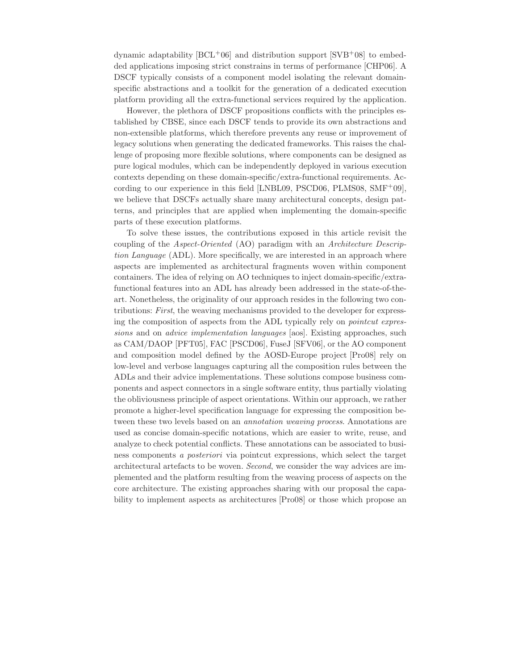dynamic adaptability  $[BCL+06]$  and distribution support  $[SVB+08]$  to embedded applications imposing strict constrains in terms of performance [CHP06]. A DSCF typically consists of a component model isolating the relevant domainspecific abstractions and a toolkit for the generation of a dedicated execution platform providing all the extra-functional services required by the application.

However, the plethora of DSCF propositions conflicts with the principles established by CBSE, since each DSCF tends to provide its own abstractions and non-extensible platforms, which therefore prevents any reuse or improvement of legacy solutions when generating the dedicated frameworks. This raises the challenge of proposing more flexible solutions, where components can be designed as pure logical modules, which can be independently deployed in various execution contexts depending on these domain-specific/extra-functional requirements. According to our experience in this field  $[LNBL09, PSCD06, PLMS08, SMF+09],$ we believe that DSCFs actually share many architectural concepts, design patterns, and principles that are applied when implementing the domain-specific parts of these execution platforms.

To solve these issues, the contributions exposed in this article revisit the coupling of the *Aspect-Oriented* (AO) paradigm with an *Architecture Description Language* (ADL). More specifically, we are interested in an approach where aspects are implemented as architectural fragments woven within component containers. The idea of relying on AO techniques to inject domain-specific/extrafunctional features into an ADL has already been addressed in the state-of-theart. Nonetheless, the originality of our approach resides in the following two contributions: *First*, the weaving mechanisms provided to the developer for expressing the composition of aspects from the ADL typically rely on *pointcut expressions* and on *advice implementation languages* [aos]. Existing approaches, such as CAM/DAOP [PFT05], FAC [PSCD06], FuseJ [SFV06], or the AO component and composition model defined by the AOSD-Europe project [Pro08] rely on low-level and verbose languages capturing all the composition rules between the ADLs and their advice implementations. These solutions compose business components and aspect connectors in a single software entity, thus partially violating the obliviousness principle of aspect orientations. Within our approach, we rather promote a higher-level specification language for expressing the composition between these two levels based on an *annotation weaving process*. Annotations are used as concise domain-specific notations, which are easier to write, reuse, and analyze to check potential conflicts. These annotations can be associated to business components *a posteriori* via pointcut expressions, which select the target architectural artefacts to be woven. *Second*, we consider the way advices are implemented and the platform resulting from the weaving process of aspects on the core architecture. The existing approaches sharing with our proposal the capability to implement aspects as architectures [Pro08] or those which propose an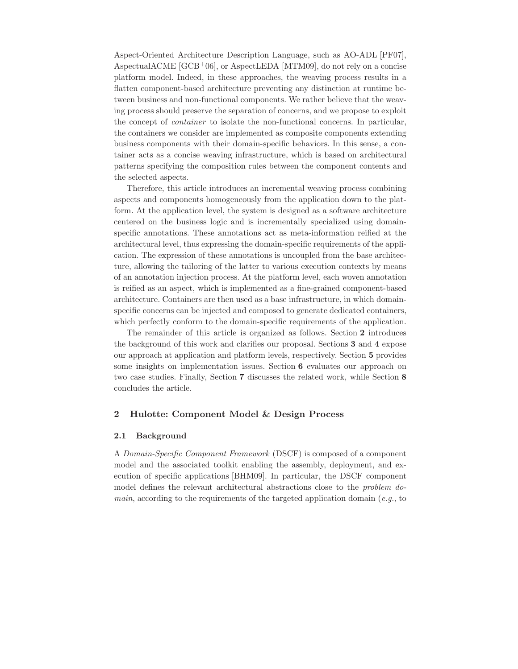Aspect-Oriented Architecture Description Language, such as AO-ADL [PF07], AspectualACME  $[GCB<sup>+</sup>06]$ , or AspectLEDA [MTM09], do not rely on a concise platform model. Indeed, in these approaches, the weaving process results in a flatten component-based architecture preventing any distinction at runtime between business and non-functional components. We rather believe that the weaving process should preserve the separation of concerns, and we propose to exploit the concept of *container* to isolate the non-functional concerns. In particular, the containers we consider are implemented as composite components extending business components with their domain-specific behaviors. In this sense, a container acts as a concise weaving infrastructure, which is based on architectural patterns specifying the composition rules between the component contents and the selected aspects.

Therefore, this article introduces an incremental weaving process combining aspects and components homogeneously from the application down to the platform. At the application level, the system is designed as a software architecture centered on the business logic and is incrementally specialized using domainspecific annotations. These annotations act as meta-information reified at the architectural level, thus expressing the domain-specific requirements of the application. The expression of these annotations is uncoupled from the base architecture, allowing the tailoring of the latter to various execution contexts by means of an annotation injection process. At the platform level, each woven annotation is reified as an aspect, which is implemented as a fine-grained component-based architecture. Containers are then used as a base infrastructure, in which domainspecific concerns can be injected and composed to generate dedicated containers, which perfectly conform to the domain-specific requirements of the application.

The remainder of this article is organized as follows. Section **2** introduces the background of this work and clarifies our proposal. Sections **3** and **4** expose our approach at application and platform levels, respectively. Section **5** provides some insights on implementation issues. Section **6** evaluates our approach on two case studies. Finally, Section **7** discusses the related work, while Section **8** concludes the article.

#### **2 Hulotte: Component Model & Design Process**

#### **2.1 Background**

A *Domain-Specific Component Framework* (DSCF) is composed of a component model and the associated toolkit enabling the assembly, deployment, and execution of specific applications [BHM09]. In particular, the DSCF component model defines the relevant architectural abstractions close to the *problem domain*, according to the requirements of the targeted application domain (*e.g.*, to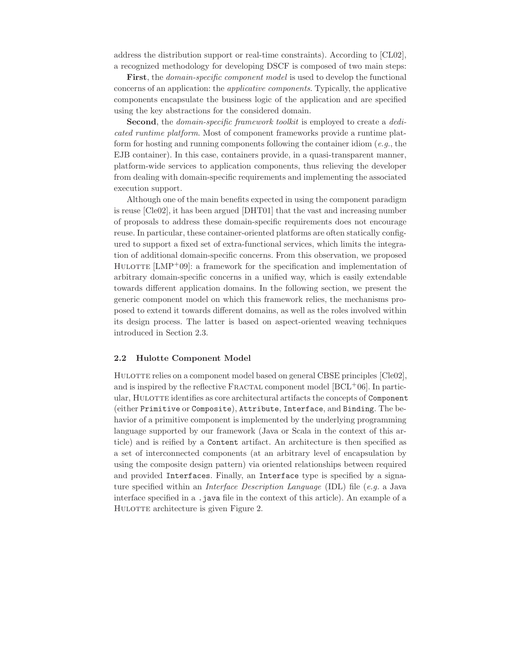address the distribution support or real-time constraints). According to [CL02], a recognized methodology for developing DSCF is composed of two main steps:

**First**, the *domain-specific component model* is used to develop the functional concerns of an application: the *applicative components*. Typically, the applicative components encapsulate the business logic of the application and are specified using the key abstractions for the considered domain.

**Second**, the *domain-specific framework toolkit* is employed to create a *dedicated runtime platform*. Most of component frameworks provide a runtime platform for hosting and running components following the container idiom (*e.g.*, the EJB container). In this case, containers provide, in a quasi-transparent manner, platform-wide services to application components, thus relieving the developer from dealing with domain-specific requirements and implementing the associated execution support.

Although one of the main benefits expected in using the component paradigm is reuse [Cle02], it has been argued [DHT01] that the vast and increasing number of proposals to address these domain-specific requirements does not encourage reuse. In particular, these container-oriented platforms are often statically configured to support a fixed set of extra-functional services, which limits the integration of additional domain-specific concerns. From this observation, we proposed HULOTTE  $[LMP+09]$ : a framework for the specification and implementation of arbitrary domain-specific concerns in a unified way, which is easily extendable towards different application domains. In the following section, we present the generic component model on which this framework relies, the mechanisms proposed to extend it towards different domains, as well as the roles involved within its design process. The latter is based on aspect-oriented weaving techniques introduced in Section 2.3.

#### **2.2 Hulotte Component Model**

HULOTTE relies on a component model based on general CBSE principles [Cle02], and is inspired by the reflective FRACTAL component model  $[BCL+06]$ . In particular, HULOTTE identifies as core architectural artifacts the concepts of Component (either Primitive or Composite), Attribute, Interface, and Binding. The behavior of a primitive component is implemented by the underlying programming language supported by our framework (Java or Scala in the context of this article) and is reified by a Content artifact. An architecture is then specified as a set of interconnected components (at an arbitrary level of encapsulation by using the composite design pattern) via oriented relationships between required and provided Interfaces. Finally, an Interface type is specified by a signature specified within an *Interface Description Language* (IDL) file (*e.g.* a Java interface specified in a .java file in the context of this article). An example of a HULOTTE architecture is given Figure 2.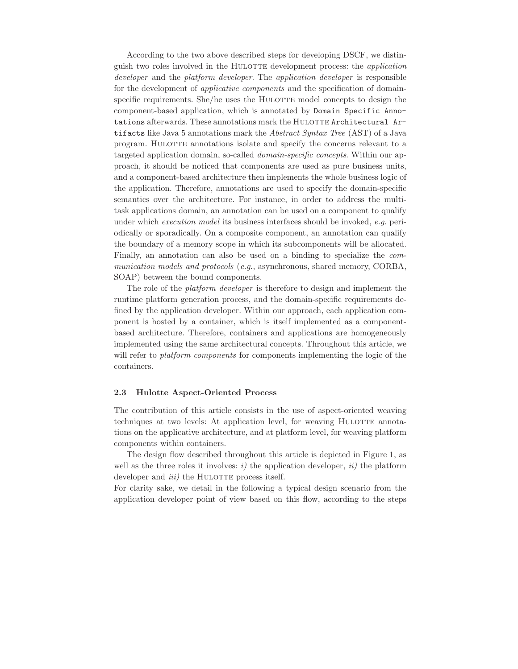According to the two above described steps for developing DSCF, we distinguish two roles involved in the Hulotte development process: the *application developer* and the *platform developer*. The *application developer* is responsible for the development of *applicative components* and the specification of domainspecific requirements. She/he uses the HULOTTE model concepts to design the component-based application, which is annotated by Domain Specific Annotations afterwards. These annotations mark the HULOTTE Architectural Artifacts like Java 5 annotations mark the *Abstract Syntax Tree* (AST) of a Java program. HULOTTE annotations isolate and specify the concerns relevant to a targeted application domain, so-called *domain-specific concepts*. Within our approach, it should be noticed that components are used as pure business units, and a component-based architecture then implements the whole business logic of the application. Therefore, annotations are used to specify the domain-specific semantics over the architecture. For instance, in order to address the multitask applications domain, an annotation can be used on a component to qualify under which *execution model* its business interfaces should be invoked, *e.g.* periodically or sporadically. On a composite component, an annotation can qualify the boundary of a memory scope in which its subcomponents will be allocated. Finally, an annotation can also be used on a binding to specialize the *communication models and protocols* (*e.g.*, asynchronous, shared memory, CORBA, SOAP) between the bound components.

The role of the *platform developer* is therefore to design and implement the runtime platform generation process, and the domain-specific requirements defined by the application developer. Within our approach, each application component is hosted by a container, which is itself implemented as a componentbased architecture. Therefore, containers and applications are homogeneously implemented using the same architectural concepts. Throughout this article, we will refer to *platform components* for components implementing the logic of the containers.

#### **2.3 Hulotte Aspect-Oriented Process**

The contribution of this article consists in the use of aspect-oriented weaving techniques at two levels: At application level, for weaving HULOTTE annotations on the applicative architecture, and at platform level, for weaving platform components within containers.

The design flow described throughout this article is depicted in Figure 1, as well as the three roles it involves:  $i$ ) the application developer,  $ii$ ) the platform developer and *iii*) the HULOTTE process itself.

For clarity sake, we detail in the following a typical design scenario from the application developer point of view based on this flow, according to the steps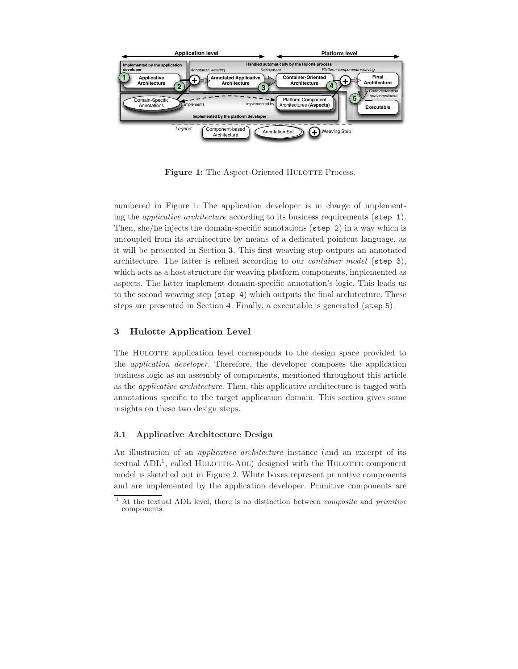

**Figure 1:** The Aspect-Oriented HULOTTE Process.

numbered in Figure 1: The application developer is in charge of implementing the *applicative architecture* according to its business requirements (step 1). Then, she/he injects the domain-specific annotations (step 2) in a way which is uncoupled from its architecture by means of a dedicated pointcut language, as it will be presented in Section **3**. This first weaving step outputs an annotated architecture. The latter is refined according to our *container model* (step 3), which acts as a host structure for weaving platform components, implemented as aspects. The latter implement domain-specific annotation's logic. This leads us to the second weaving step (step 4) which outputs the final architecture. These steps are presented in Section **4**. Finally, a executable is generated (step 5).

#### **3 Hulotte Application Level**

The HULOTTE application level corresponds to the design space provided to the *application developer*. Therefore, the developer composes the application business logic as an assembly of components, mentioned throughout this article as the *applicative architecture*. Then, this applicative architecture is tagged with annotations specific to the target application domain. This section gives some insights on these two design steps.

#### **3.1 Applicative Architecture Design**

An illustration of an *applicative architecture* instance (and an excerpt of its textual  $ADL<sup>1</sup>$ , called HULOTTE-ADL) designed with the HULOTTE component model is sketched out in Figure 2. White boxes represent primitive components and are implemented by the application developer. Primitive components are

<sup>1</sup> At the textual ADL level, there is no distinction between *composite* and *primitive* components.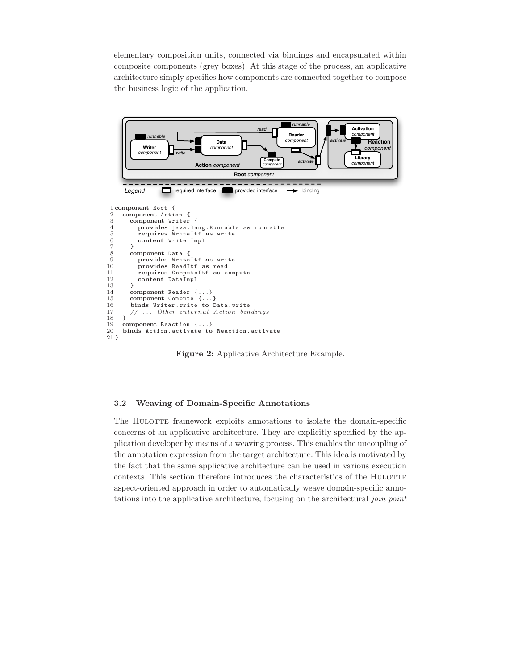elementary composition units, connected via bindings and encapsulated within composite components (grey boxes). At this stage of the process, an applicative architecture simply specifies how components are connected together to compose the business logic of the application.



**Figure 2:** Applicative Architecture Example.

#### **3.2 Weaving of Domain-Specific Annotations**

The HULOTTE framework exploits annotations to isolate the domain-specific concerns of an applicative architecture. They are explicitly specified by the application developer by means of a weaving process. This enables the uncoupling of the annotation expression from the target architecture. This idea is motivated by the fact that the same applicative architecture can be used in various execution contexts. This section therefore introduces the characteristics of the HULOTTE aspect-oriented approach in order to automatically weave domain-specific annotations into the applicative architecture, focusing on the architectural *join point*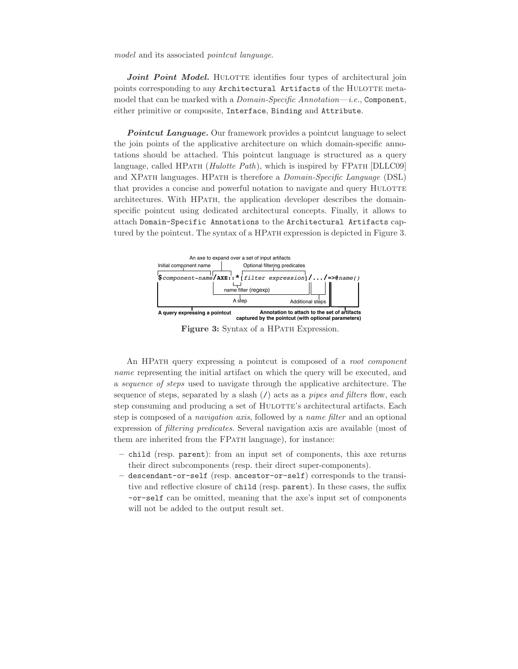*model* and its associated *pointcut language*.

Joint Point Model. HULOTTE identifies four types of architectural join points corresponding to any Architectural Artifacts of the HULOTTE metamodel that can be marked with a *Domain-Specific Annotation*—*i.e.*, Component, either primitive or composite, Interface, Binding and Attribute.

**Pointcut Language.** Our framework provides a pointcut language to select the join points of the applicative architecture on which domain-specific annotations should be attached. This pointcut language is structured as a query language, called HPATH (*Hulotte Path*), which is inspired by FPATH [DLLC09] and XPath languages. HPath is therefore a *Domain-Specific Language* (DSL) that provides a concise and powerful notation to navigate and query HULOTTE architectures. With HPATH, the application developer describes the domainspecific pointcut using dedicated architectural concepts. Finally, it allows to attach Domain-Specific Annotations to the Architectural Artifacts captured by the pointcut. The syntax of a HPATH expression is depicted in Figure 3.



Figure 3: Syntax of a HPATH Expression.

An HPath query expressing a pointcut is composed of a *root component name* representing the initial artifact on which the query will be executed, and a *sequence of steps* used to navigate through the applicative architecture. The sequence of steps, separated by a slash (/) acts as a *pipes and filters* flow, each step consuming and producing a set of HULOTTE's architectural artifacts. Each step is composed of a *navigation axis*, followed by a *name filter* and an optional expression of *filtering predicates*. Several navigation axis are available (most of them are inherited from the FPath language), for instance:

- **–** child (resp. parent): from an input set of components, this axe returns their direct subcomponents (resp. their direct super-components).
- **–** descendant-or-self (resp. ancestor-or-self) corresponds to the transitive and reflective closure of child (resp. parent). In these cases, the suffix -or-self can be omitted, meaning that the axe's input set of components will not be added to the output result set.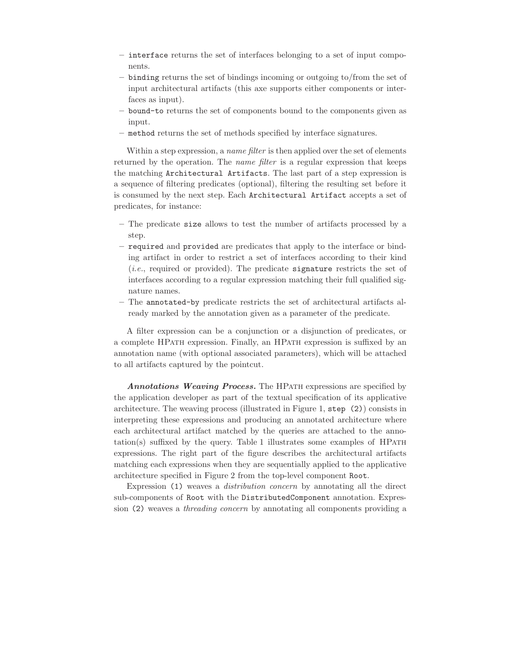- **–** interface returns the set of interfaces belonging to a set of input components.
- **–** binding returns the set of bindings incoming or outgoing to/from the set of input architectural artifacts (this axe supports either components or interfaces as input).
- **–** bound-to returns the set of components bound to the components given as input.
- **–** method returns the set of methods specified by interface signatures.

Within a step expression, a *name filter* is then applied over the set of elements returned by the operation. The *name filter* is a regular expression that keeps the matching Architectural Artifacts. The last part of a step expression is a sequence of filtering predicates (optional), filtering the resulting set before it is consumed by the next step. Each Architectural Artifact accepts a set of predicates, for instance:

- **–** The predicate size allows to test the number of artifacts processed by a step.
- **–** required and provided are predicates that apply to the interface or binding artifact in order to restrict a set of interfaces according to their kind (*i.e.*, required or provided). The predicate signature restricts the set of interfaces according to a regular expression matching their full qualified signature names.
- **–** The annotated-by predicate restricts the set of architectural artifacts already marked by the annotation given as a parameter of the predicate.

A filter expression can be a conjunction or a disjunction of predicates, or a complete HPath expression. Finally, an HPath expression is suffixed by an annotation name (with optional associated parameters), which will be attached to all artifacts captured by the pointcut.

**Annotations Weaving Process.** The HPATH expressions are specified by the application developer as part of the textual specification of its applicative architecture. The weaving process (illustrated in Figure 1, step (2)) consists in interpreting these expressions and producing an annotated architecture where each architectural artifact matched by the queries are attached to the anno $tation(s)$  suffixed by the query. Table 1 illustrates some examples of HPATH expressions. The right part of the figure describes the architectural artifacts matching each expressions when they are sequentially applied to the applicative architecture specified in Figure 2 from the top-level component Root.

Expression (1) weaves a *distribution concern* by annotating all the direct sub-components of Root with the DistributedComponent annotation. Expression (2) weaves a *threading concern* by annotating all components providing a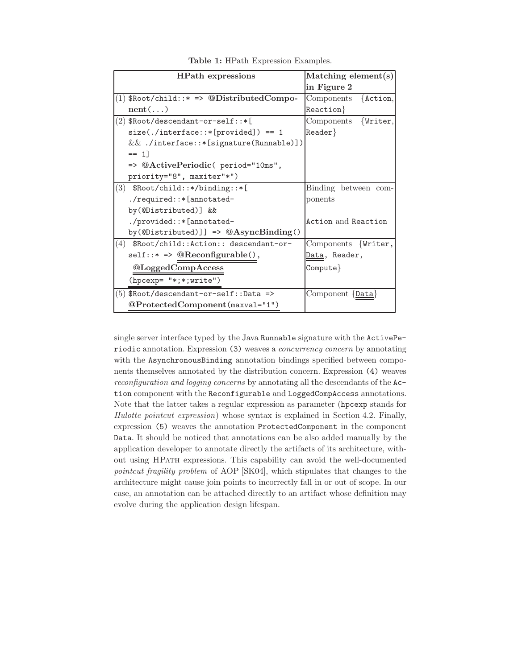| Matching element $(s)$<br><b>HPath expressions</b> |                           |
|----------------------------------------------------|---------------------------|
|                                                    | in Figure 2               |
| $(1)$ \$Root/child::* => @DistributedCompo-        | $\{Action,$<br>Components |
| $nent(\ldots)$                                     | $Reaction$ }              |
| $(2)$ \$Root/descendant-or-self::*[                | Components {Writer,       |
| $size(./interface::*[provided]) == 1$              | $Reader$ }                |
| $&&.$ /interface::*[signature(Runnable)])          |                           |
| $== 11$                                            |                           |
| => @ActivePeriodic( period="10ms",                 |                           |
| priority="8", maxiter"*")                          |                           |
| (3) $\text{\$Root/child::*/binding::*[}$           | Binding between com-      |
| $./required::*[annotated-$                         | ponents                   |
| by(@Distributed)] &&                               |                           |
| ./provided::*[annotated-                           | Action and Reaction       |
| by(@Distributed)]] => $@AsyncBinding()$            |                           |
| (4) \$Root/child::Action:: descendant-or-          | Components {Writer,       |
| $self::* \Rightarrow @Reconfigurable(),$           | Data, Reader,             |
| @LoggedCompAccess                                  | $Compute\}$               |
| (hpcexp= "*;*;write")                              |                           |
| $(5)$ \$Root/descendant-or-self:: Data =>          | Component {Data}          |
| @ProtectedComponent(maxval="1")                    |                           |

**Table 1:** HPath Expression Examples.

single server interface typed by the Java Runnable signature with the ActivePeriodic annotation. Expression (3) weaves a *concurrency concern* by annotating with the AsynchronousBinding annotation bindings specified between components themselves annotated by the distribution concern. Expression (4) weaves *reconfiguration and logging concerns* by annotating all the descendants of the Action component with the Reconfigurable and LoggedCompAccess annotations. Note that the latter takes a regular expression as parameter (hpcexp stands for *Hulotte pointcut expression*) whose syntax is explained in Section 4.2. Finally, expression (5) weaves the annotation ProtectedComponent in the component Data. It should be noticed that annotations can be also added manually by the application developer to annotate directly the artifacts of its architecture, without using HPath expressions. This capability can avoid the well-documented *pointcut fragility problem* of AOP [SK04], which stipulates that changes to the architecture might cause join points to incorrectly fall in or out of scope. In our case, an annotation can be attached directly to an artifact whose definition may evolve during the application design lifespan.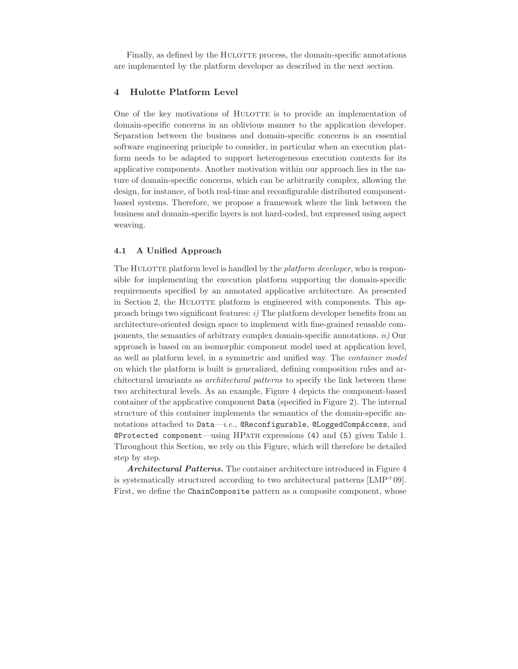Finally, as defined by the HULOTTE process, the domain-specific annotations are implemented by the platform developer as described in the next section.

#### **4 Hulotte Platform Level**

One of the key motivations of HULOTTE is to provide an implementation of domain-specific concerns in an oblivious manner to the application developer. Separation between the business and domain-specific concerns is an essential software engineering principle to consider, in particular when an execution platform needs to be adapted to support heterogeneous execution contexts for its applicative components. Another motivation within our approach lies in the nature of domain-specific concerns, which can be arbitrarily complex, allowing the design, for instance, of both real-time and reconfigurable distributed componentbased systems. Therefore, we propose a framework where the link between the business and domain-specific layers is not hard-coded, but expressed using aspect weaving.

#### **4.1 A Unified Approach**

The HULOTTE platform level is handled by the *platform developer*, who is responsible for implementing the execution platform supporting the domain-specific requirements specified by an annotated applicative architecture. As presented in Section 2, the HULOTTE platform is engineered with components. This approach brings two significant features: *i)* The platform developer benefits from an architecture-oriented design space to implement with fine-grained reusable components, the semantics of arbitrary complex domain-specific annotations. *ii)* Our approach is based on an isomorphic component model used at application level, as well as platform level, in a symmetric and unified way. The *container model* on which the platform is built is generalized, defining composition rules and architectural invariants as *architectural patterns* to specify the link between these two architectural levels. As an example, Figure 4 depicts the component-based container of the applicative component Data (specified in Figure 2). The internal structure of this container implements the semantics of the domain-specific annotations attached to Data—*i.e.*, @Reconfigurable, @LoggedCompAccess, and @Protected component—using HPath expressions (4) and (5) given Table 1. Throughout this Section, we rely on this Figure, which will therefore be detailed step by step.

*Architectural Patterns.* The container architecture introduced in Figure 4 is systematically structured according to two architectural patterns  $[LMP^+09]$ . First, we define the ChainComposite pattern as a composite component, whose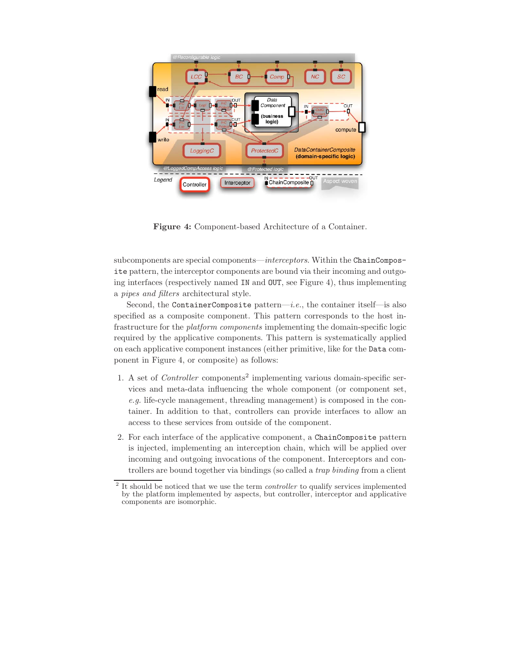

**Figure 4:** Component-based Architecture of a Container.

subcomponents are special components—*interceptors*. Within the ChainComposite pattern, the interceptor components are bound via their incoming and outgoing interfaces (respectively named IN and OUT, see Figure 4), thus implementing a *pipes and filters* architectural style.

Second, the ContainerComposite pattern—*i.e.*, the container itself—is also specified as a composite component. This pattern corresponds to the host infrastructure for the *platform components* implementing the domain-specific logic required by the applicative components. This pattern is systematically applied on each applicative component instances (either primitive, like for the Data component in Figure 4, or composite) as follows:

- 1. A set of *Controller* components<sup>2</sup> implementing various domain-specific services and meta-data influencing the whole component (or component set, *e.g.* life-cycle management, threading management) is composed in the container. In addition to that, controllers can provide interfaces to allow an access to these services from outside of the component.
- 2. For each interface of the applicative component, a ChainComposite pattern is injected, implementing an interception chain, which will be applied over incoming and outgoing invocations of the component. Interceptors and controllers are bound together via bindings (so called a *trap binding* from a client

<sup>2</sup> It should be noticed that we use the term *controller* to qualify services implemented by the platform implemented by aspects, but controller, interceptor and applicative components are isomorphic.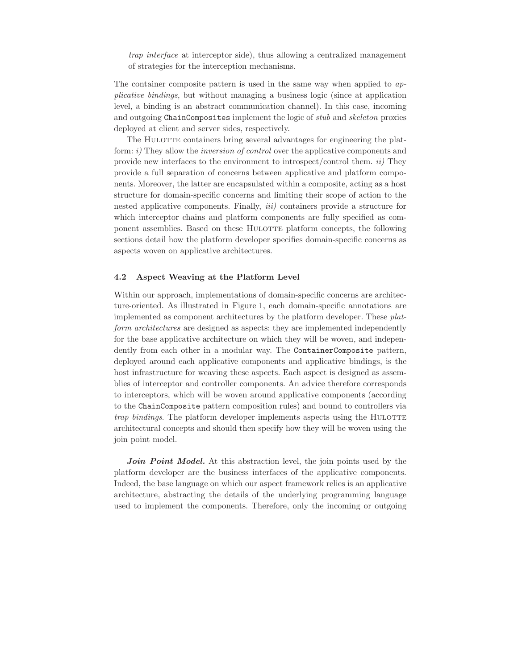*trap interface* at interceptor side), thus allowing a centralized management of strategies for the interception mechanisms.

The container composite pattern is used in the same way when applied to *applicative bindings*, but without managing a business logic (since at application level, a binding is an abstract communication channel). In this case, incoming and outgoing ChainComposites implement the logic of *stub* and *skeleton* proxies deployed at client and server sides, respectively.

The HULOTTE containers bring several advantages for engineering the platform: *i)* They allow the *inversion of control* over the applicative components and provide new interfaces to the environment to introspect/control them. *ii)* They provide a full separation of concerns between applicative and platform components. Moreover, the latter are encapsulated within a composite, acting as a host structure for domain-specific concerns and limiting their scope of action to the nested applicative components. Finally, *iii)* containers provide a structure for which interceptor chains and platform components are fully specified as component assemblies. Based on these HULOTTE platform concepts, the following sections detail how the platform developer specifies domain-specific concerns as aspects woven on applicative architectures.

#### **4.2 Aspect Weaving at the Platform Level**

Within our approach, implementations of domain-specific concerns are architecture-oriented. As illustrated in Figure 1, each domain-specific annotations are implemented as component architectures by the platform developer. These *platform architectures* are designed as aspects: they are implemented independently for the base applicative architecture on which they will be woven, and independently from each other in a modular way. The ContainerComposite pattern, deployed around each applicative components and applicative bindings, is the host infrastructure for weaving these aspects. Each aspect is designed as assemblies of interceptor and controller components. An advice therefore corresponds to interceptors, which will be woven around applicative components (according to the ChainComposite pattern composition rules) and bound to controllers via *trap bindings*. The platform developer implements aspects using the HULOTTE architectural concepts and should then specify how they will be woven using the join point model.

*Join Point Model.* At this abstraction level, the join points used by the platform developer are the business interfaces of the applicative components. Indeed, the base language on which our aspect framework relies is an applicative architecture, abstracting the details of the underlying programming language used to implement the components. Therefore, only the incoming or outgoing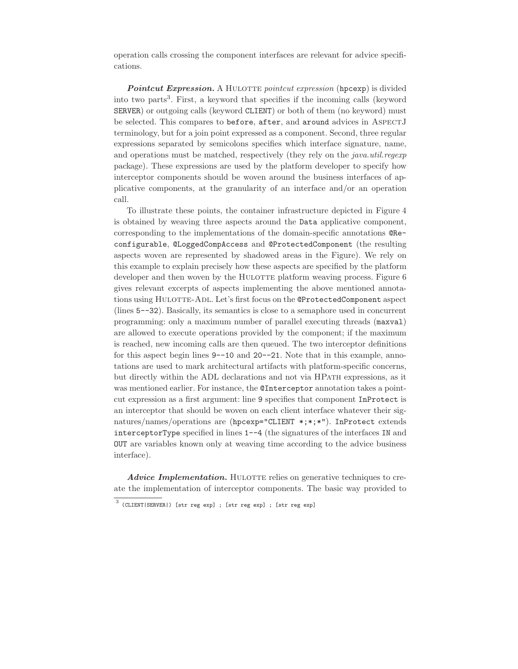operation calls crossing the component interfaces are relevant for advice specifications.

**Pointcut Expression.** A HULOTTE *pointcut expression* (hpcexp) is divided into two parts<sup>3</sup>. First, a keyword that specifies if the incoming calls (keyword SERVER) or outgoing calls (keyword CLIENT) or both of them (no keyword) must be selected. This compares to before, after, and around advices in AspectJ terminology, but for a join point expressed as a component. Second, three regular expressions separated by semicolons specifies which interface signature, name, and operations must be matched, respectively (they rely on the *java.util.regexp* package). These expressions are used by the platform developer to specify how interceptor components should be woven around the business interfaces of applicative components, at the granularity of an interface and/or an operation call.

To illustrate these points, the container infrastructure depicted in Figure 4 is obtained by weaving three aspects around the Data applicative component, corresponding to the implementations of the domain-specific annotations @Reconfigurable, @LoggedCompAccess and @ProtectedComponent (the resulting aspects woven are represented by shadowed areas in the Figure). We rely on this example to explain precisely how these aspects are specified by the platform developer and then woven by the HULOTTE platform weaving process. Figure 6 gives relevant excerpts of aspects implementing the above mentioned annotations using HULOTTE-ADL. Let's first focus on the @ProtectedComponent aspect (lines 5--32). Basically, its semantics is close to a semaphore used in concurrent programming: only a maximum number of parallel executing threads (maxval) are allowed to execute operations provided by the component; if the maximum is reached, new incoming calls are then queued. The two interceptor definitions for this aspect begin lines 9--10 and 20--21. Note that in this example, annotations are used to mark architectural artifacts with platform-specific concerns, but directly within the ADL declarations and not via HPath expressions, as it was mentioned earlier. For instance, the **CInterceptor** annotation takes a pointcut expression as a first argument: line 9 specifies that component InProtect is an interceptor that should be woven on each client interface whatever their signatures/names/operations are (hpcexp="CLIENT \*;\*;\*"). InProtect extends interceptorType specified in lines 1--4 (the signatures of the interfaces IN and OUT are variables known only at weaving time according to the advice business interface).

*Advice Implementation.* HULOTTE relies on generative techniques to create the implementation of interceptor components. The basic way provided to

 $^3$  (CLIENT|SERVER|) [str reg exp] ; [str reg exp] ; [str reg exp]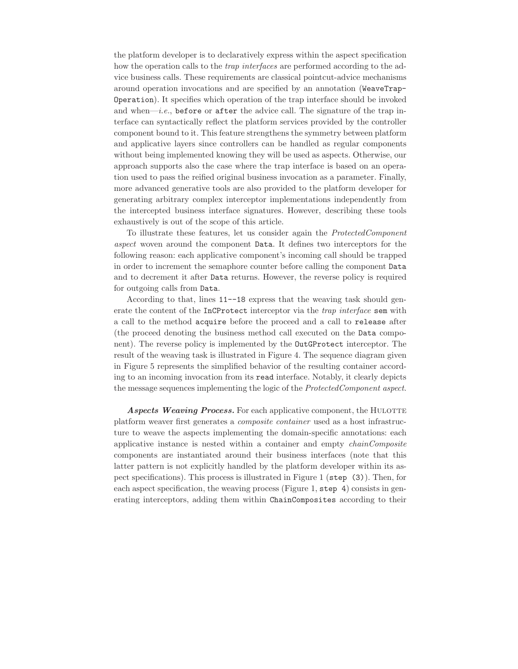the platform developer is to declaratively express within the aspect specification how the operation calls to the *trap interfaces* are performed according to the advice business calls. These requirements are classical pointcut-advice mechanisms around operation invocations and are specified by an annotation (WeaveTrap-Operation). It specifies which operation of the trap interface should be invoked and when— $i.e.,$  before or after the advice call. The signature of the trap interface can syntactically reflect the platform services provided by the controller component bound to it. This feature strengthens the symmetry between platform and applicative layers since controllers can be handled as regular components without being implemented knowing they will be used as aspects. Otherwise, our approach supports also the case where the trap interface is based on an operation used to pass the reified original business invocation as a parameter. Finally, more advanced generative tools are also provided to the platform developer for generating arbitrary complex interceptor implementations independently from the intercepted business interface signatures. However, describing these tools exhaustively is out of the scope of this article.

To illustrate these features, let us consider again the *ProtectedComponent aspect* woven around the component Data. It defines two interceptors for the following reason: each applicative component's incoming call should be trapped in order to increment the semaphore counter before calling the component Data and to decrement it after Data returns. However, the reverse policy is required for outgoing calls from Data.

According to that, lines 11--18 express that the weaving task should generate the content of the InCProtect interceptor via the *trap interface* sem with a call to the method acquire before the proceed and a call to release after (the proceed denoting the business method call executed on the Data component). The reverse policy is implemented by the OutGProtect interceptor. The result of the weaving task is illustrated in Figure 4. The sequence diagram given in Figure 5 represents the simplified behavior of the resulting container according to an incoming invocation from its read interface. Notably, it clearly depicts the message sequences implementing the logic of the *ProtectedComponent aspect*.

**Aspects Weaving Process.** For each applicative component, the HULOTTE platform weaver first generates a *composite container* used as a host infrastructure to weave the aspects implementing the domain-specific annotations: each applicative instance is nested within a container and empty *chainComposite* components are instantiated around their business interfaces (note that this latter pattern is not explicitly handled by the platform developer within its aspect specifications). This process is illustrated in Figure 1 (step (3)). Then, for each aspect specification, the weaving process (Figure 1, step 4) consists in generating interceptors, adding them within ChainComposites according to their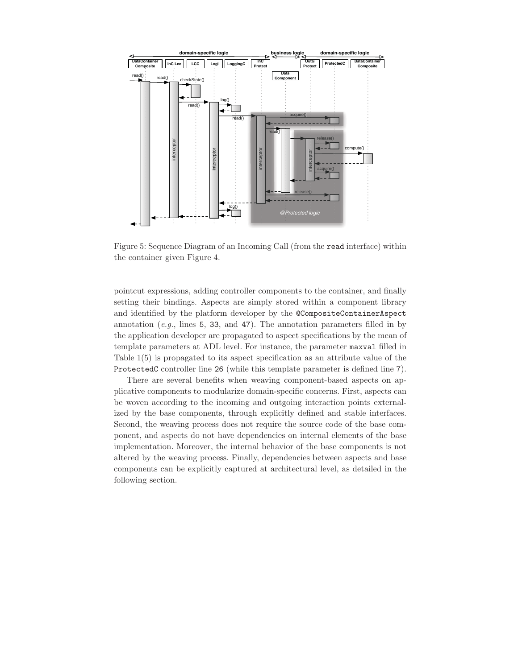

Figure 5: Sequence Diagram of an Incoming Call (from the read interface) within the container given Figure 4.

pointcut expressions, adding controller components to the container, and finally setting their bindings. Aspects are simply stored within a component library and identified by the platform developer by the @CompositeContainerAspect annotation (*e.g.*, lines 5, 33, and 47). The annotation parameters filled in by the application developer are propagated to aspect specifications by the mean of template parameters at ADL level. For instance, the parameter maxval filled in Table 1(5) is propagated to its aspect specification as an attribute value of the ProtectedC controller line 26 (while this template parameter is defined line 7).

There are several benefits when weaving component-based aspects on applicative components to modularize domain-specific concerns. First, aspects can be woven according to the incoming and outgoing interaction points externalized by the base components, through explicitly defined and stable interfaces. Second, the weaving process does not require the source code of the base component, and aspects do not have dependencies on internal elements of the base implementation. Moreover, the internal behavior of the base components is not altered by the weaving process. Finally, dependencies between aspects and base components can be explicitly captured at architectural level, as detailed in the following section.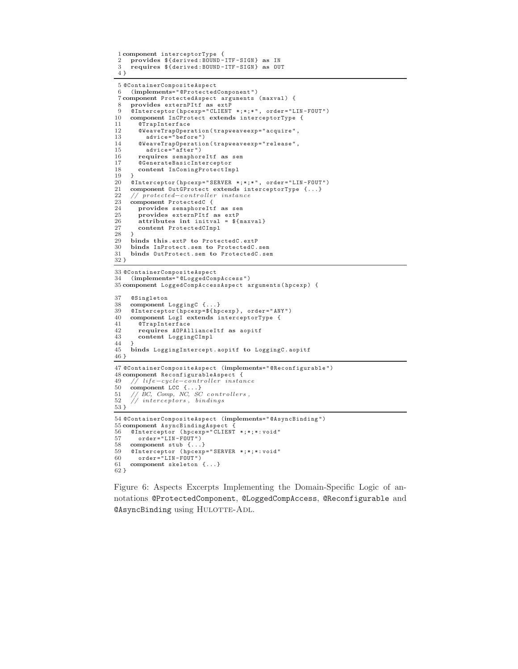```
1 component interceptorType {
 2 provides ${derived:BOUND -ITF -SIGN} as IN
     3 requires ${derived:BOUND -ITF -SIGN} as OUT
 4 }
 5 @ContainerCompositeAspect
 6 (implements="@ProtectedComponent")
 7 component ProtectedAspect arguments (maxval) {
 8 provides externPItf as extP
9 \hat{\text{o}}Interceptor(hpcexp="CLIENT *;*;*", order="LIN-FOUT")<br>10 component InCProtect extends interceptorTvpe {
10 component InCProtect extends interceptorType {
11 @TrapInterface<br>12 @WeaveTrapOpers
12 @WeaveTrapOperation(trapweaveexp="acquire",<br>13 advice="before")
13 advice="before")<br>14 @WeaveTrapOperatio
        @Weave Traplperation (trapweavexp="relcase\texttt{''},% \texttt{``red}+ \texttt{``red}+ \texttt{``red}+ \texttt{``red}+ \texttt{``red}+ \texttt{``red}+ \texttt{``red}+ \texttt{``red}+ \texttt{``red}+ \texttt{``red}+ \texttt{``red}+ \texttt{``red}+ \texttt{``red}+ \texttt{``red}+ \texttt{``red}+ \texttt{``red}+ \texttt{``red}+ \texttt{``red}+ \texttt{``red}+ \texttt{``red}+ \texttt{``red}+ \texttt{``red}+ \texttt{``red}+ \texttt{``red}+ \texttt{``red15 advice="after")<br>16 requires semaphor
16 requires semaphoreItf as sem
17 @GenerateBasicInterceptor<br>18 content InComingProtectIm
        content InComingProtectImpl
\frac{19}{20}20 @Interceptor(hpcexp="SERVER *;*;*", order="LIN-FOUT")<br>21 component OutCProtect extends interceptorType { }
21 component OutGProtect extends interceptorType {...}
22 // protected−controller instance
23 component ProtectedC {
24 provides semaphoreItf as sem
25 provides externPItf as extP
26 attributes int initval = ${maxval}<br>27 content ProtectedCImpl
        content ProtectedCImpl
\frac{28}{29}29 binds this .extP to ProtectedC.extP
30 binds InProtect.sem to ProtectedC.sem
      31 binds OutProtect.sem to ProtectedC.sem
32 }
33 @ContainerCompositeAspect
34 (implements="@LoggedCompAccess")
35 component LoggedCompAccessAspect arguments( hpcexp) {
37 @Singleton
38 component LoggingC {...}
      @Interceptor(\bar{h}pcexp=\$(hpcexp$, order="ANY")
40 component LogI extends interceptorType {
41 @TrapInterface<br>42 requires AOPA1
42 requires AOPAllianceItf as aopitf
        43 content LoggingCImpl
\frac{44}{45}45 binds LoggingIntercept. aopitf to LoggingC.aopitf
46 }
47 @ContainerCompositeAspect (implements="@Reconfigurable")
48 component ReconfigurableAspect {
49 // l i f e −cycle−controller instance
50 component LCC {...}<br>51 // BC, Comp. NC, SC
51 // BC, Comp, NC, SC c on t ro l l e rs ,
52 // interceptors , bindings
53 }
54 @ContainerCompositeAspect (implements="@AsyncBinding")
55 component AsyncBindingAspect {
56 @Interceptor (hpcexp="CLIENT *;*;*:void"<br>57 order="LIN-FOUT")
57 order="LIN-FOUT")
     component stub \{ \ldots \}59 @Interceptor (hpcexp="SERVER *;*;*:void"
60 order="LIN-FOUT")
61 component skeleton {...}
62 }
```
Figure 6: Aspects Excerpts Implementing the Domain-Specific Logic of annotations @ProtectedComponent, @LoggedCompAccess, @Reconfigurable and @AsyncBinding using HULOTTE-ADL.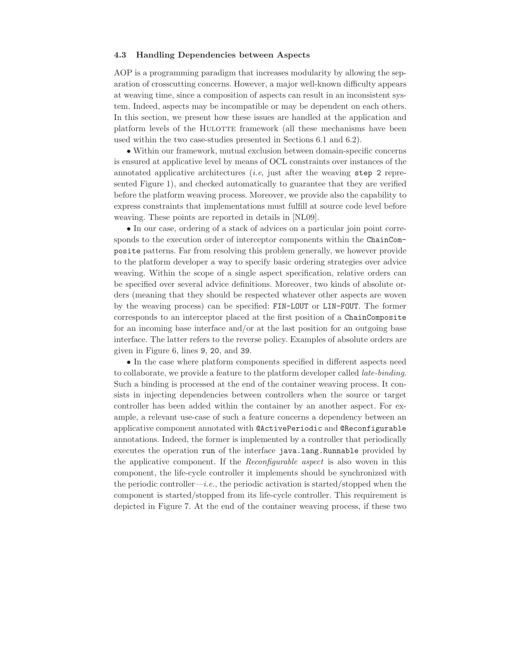#### **4.3 Handling Dependencies between Aspects**

AOP is a programming paradigm that increases modularity by allowing the separation of crosscutting concerns. However, a major well-known difficulty appears at weaving time, since a composition of aspects can result in an inconsistent system. Indeed, aspects may be incompatible or may be dependent on each others. In this section, we present how these issues are handled at the application and platform levels of the HULOTTE framework (all these mechanisms have been used within the two case-studies presented in Sections 6.1 and 6.2).

*•* Within our framework, mutual exclusion between domain-specific concerns is ensured at applicative level by means of OCL constraints over instances of the annotated applicative architectures (*i.e*, just after the weaving step 2 represented Figure 1), and checked automatically to guarantee that they are verified before the platform weaving process. Moreover, we provide also the capability to express constraints that implementations must fulfill at source code level before weaving. These points are reported in details in [NL09].

• In our case, ordering of a stack of advices on a particular join point corresponds to the execution order of interceptor components within the ChainComposite patterns. Far from resolving this problem generally, we however provide to the platform developer a way to specify basic ordering strategies over advice weaving. Within the scope of a single aspect specification, relative orders can be specified over several advice definitions. Moreover, two kinds of absolute orders (meaning that they should be respected whatever other aspects are woven by the weaving process) can be specified: FIN-LOUT or LIN-FOUT. The former corresponds to an interceptor placed at the first position of a ChainComposite for an incoming base interface and/or at the last position for an outgoing base interface. The latter refers to the reverse policy. Examples of absolute orders are given in Figure 6, lines 9, 20, and 39.

*•* In the case where platform components specified in different aspects need to collaborate, we provide a feature to the platform developer called *late-binding*. Such a binding is processed at the end of the container weaving process. It consists in injecting dependencies between controllers when the source or target controller has been added within the container by an another aspect. For example, a relevant use-case of such a feature concerns a dependency between an applicative component annotated with @ActivePeriodic and @Reconfigurable annotations. Indeed, the former is implemented by a controller that periodically executes the operation run of the interface java.lang.Runnable provided by the applicative component. If the *Reconfigurable aspect* is also woven in this component, the life-cycle controller it implements should be synchronized with the periodic controller—*i.e.*, the periodic activation is started/stopped when the component is started/stopped from its life-cycle controller. This requirement is depicted in Figure 7. At the end of the container weaving process, if these two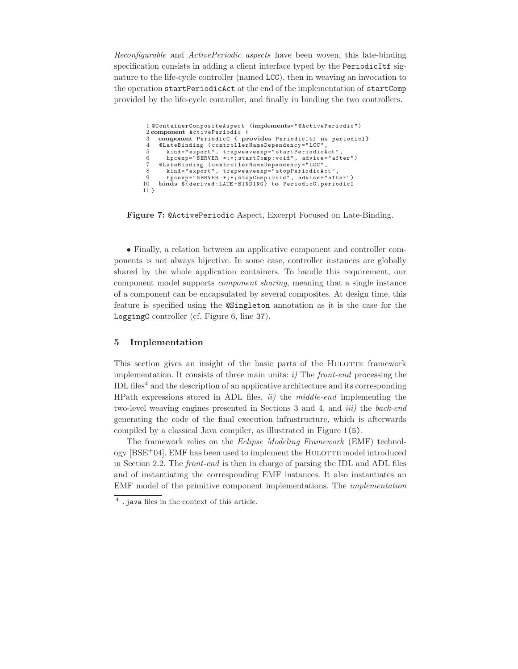*Reconfigurable* and *ActivePeriodic aspects* have been woven, this late-binding specification consists in adding a client interface typed by the PeriodicItf signature to the life-cycle controller (named LCC), then in weaving an invocation to the operation startPeriodicAct at the end of the implementation of startComp provided by the life-cycle controller, and finally in binding the two controllers.

```
1 @ContainerCompositeAspect (implements="@ActivePeriodic")
 2 component ActivePeriodic {
 3 component PeriodicC { provides PeriodicItf as periodicI}
4 @LateBinding (controllerNameDependency="LCC",
 5 kind="export", trapweaveexp="startPeriodicAct",
       hpcexp="SERVER *;*; startComp: void", advice="after")
 7 @LateBinding (controllerNameDependency="LCC",
 8 kind="export", trapweaveexp="stopPeriodicAct",
9 hpcexp="SERVER *;*;stopComp:void", advice="after")
10 binds ${derived:LATE -BINDING} to PeriodicC.periodicI
11 }
```
**Figure 7:** @ActivePeriodic Aspect, Excerpt Focused on Late-Binding.

*•* Finally, a relation between an applicative component and controller components is not always bijective. In some case, controller instances are globally shared by the whole application containers. To handle this requirement, our component model supports *component sharing*, meaning that a single instance of a component can be encapsulated by several composites. At design time, this feature is specified using the @Singleton annotation as it is the case for the LoggingC controller (cf. Figure 6, line 37).

#### **5 Implementation**

This section gives an insight of the basic parts of the HULOTTE framework implementation. It consists of three main units: *i)* The *front-end* processing the IDL files<sup>4</sup> and the description of an applicative architecture and its corresponding HPath expressions stored in ADL files, *ii)* the *middle-end* implementing the two-level weaving engines presented in Sections 3 and 4, and *iii)* the *back-end* generating the code of the final execution infrastructure, which is afterwards compiled by a classical Java compiler, as illustrated in Figure 1(5).

The framework relies on the *Eclipse Modeling Framework* (EMF) technol- $\log$  [BSE<sup>+</sup>04]. EMF has been used to implement the HULOTTE model introduced in Section 2.2. The *front-end* is then in charge of parsing the IDL and ADL files and of instantiating the corresponding EMF instances. It also instantiates an EMF model of the primitive component implementations. The *implementation*

<sup>4</sup> .java files in the context of this article.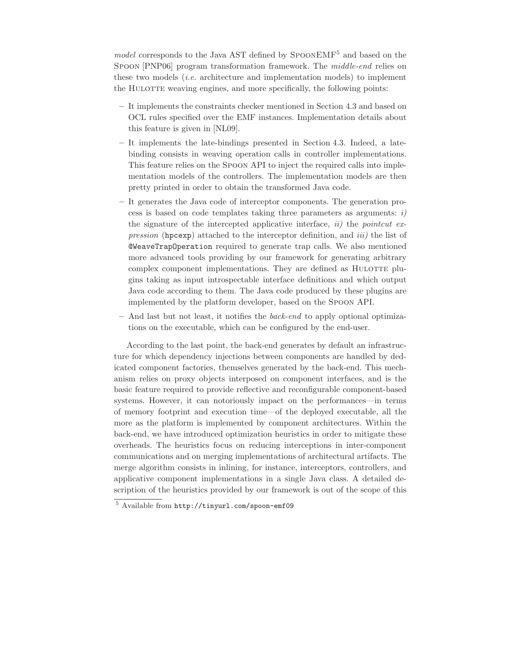*model* corresponds to the Java AST defined by SPOONEMF<sup>5</sup> and based on the Spoon [PNP06] program transformation framework. The *middle-end* relies on these two models (*i.e.* architecture and implementation models) to implement the HULOTTE weaving engines, and more specifically, the following points:

- **–** It implements the constraints checker mentioned in Section 4.3 and based on OCL rules specified over the EMF instances. Implementation details about this feature is given in [NL09].
- **–** It implements the late-bindings presented in Section 4.3. Indeed, a latebinding consists in weaving operation calls in controller implementations. This feature relies on the Spoon API to inject the required calls into implementation models of the controllers. The implementation models are then pretty printed in order to obtain the transformed Java code.
- **–** It generates the Java code of interceptor components. The generation process is based on code templates taking three parameters as arguments: *i)* the signature of the intercepted applicative interface, *ii)* the *pointcut expression* (hpcexp) attached to the interceptor definition, and *iii)* the list of @WeaveTrapOperation required to generate trap calls. We also mentioned more advanced tools providing by our framework for generating arbitrary complex component implementations. They are defined as HULOTTE plugins taking as input introspectable interface definitions and which output Java code according to them. The Java code produced by these plugins are implemented by the platform developer, based on the Spoon API.
- **–** And last but not least, it notifies the *back-end* to apply optional optimizations on the executable, which can be configured by the end-user.

According to the last point, the back-end generates by default an infrastructure for which dependency injections between components are handled by dedicated component factories, themselves generated by the back-end. This mechanism relies on proxy objects interposed on component interfaces, and is the basic feature required to provide reflective and reconfigurable component-based systems. However, it can notoriously impact on the performances—in terms of memory footprint and execution time—of the deployed executable, all the more as the platform is implemented by component architectures. Within the back-end, we have introduced optimization heuristics in order to mitigate these overheads. The heuristics focus on reducing interceptions in inter-component communications and on merging implementations of architectural artifacts. The merge algorithm consists in inlining, for instance, interceptors, controllers, and applicative component implementations in a single Java class. A detailed description of the heuristics provided by our framework is out of the scope of this

<sup>5</sup> Available from http://tinyurl.com/spoon-emf09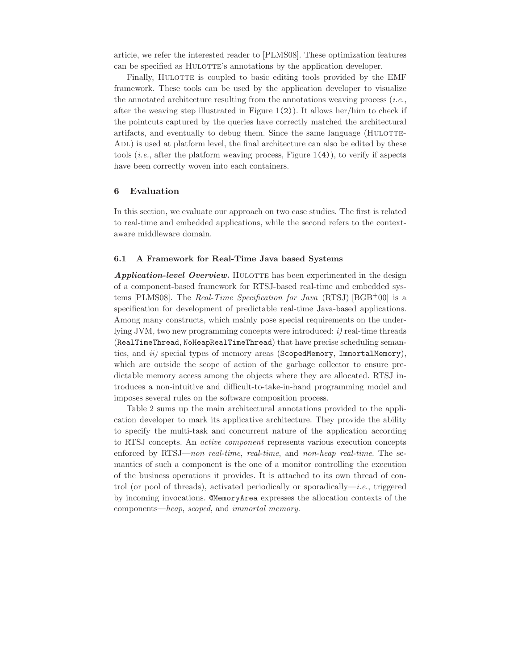article, we refer the interested reader to [PLMS08]. These optimization features can be specified as HULOTTE's annotations by the application developer.

Finally, HULOTTE is coupled to basic editing tools provided by the EMF framework. These tools can be used by the application developer to visualize the annotated architecture resulting from the annotations weaving process (*i.e.*, after the weaving step illustrated in Figure 1(2)). It allows her/him to check if the pointcuts captured by the queries have correctly matched the architectural artifacts, and eventually to debug them. Since the same language (HULOTTE-ADL) is used at platform level, the final architecture can also be edited by these tools (*i.e.*, after the platform weaving process, Figure 1(4)), to verify if aspects have been correctly woven into each containers.

#### **6 Evaluation**

In this section, we evaluate our approach on two case studies. The first is related to real-time and embedded applications, while the second refers to the contextaware middleware domain.

#### **6.1 A Framework for Real-Time Java based Systems**

*Application-level Overview.* HULOTTE has been experimented in the design of a component-based framework for RTSJ-based real-time and embedded systems [PLMS08]. The *Real-Time Specification for Java* (RTSJ) [BGB<sup>+</sup>00] is a specification for development of predictable real-time Java-based applications. Among many constructs, which mainly pose special requirements on the underlying JVM, two new programming concepts were introduced: *i)* real-time threads (RealTimeThread, NoHeapRealTimeThread) that have precise scheduling semantics, and *ii)* special types of memory areas (ScopedMemory, ImmortalMemory), which are outside the scope of action of the garbage collector to ensure predictable memory access among the objects where they are allocated. RTSJ introduces a non-intuitive and difficult-to-take-in-hand programming model and imposes several rules on the software composition process.

Table 2 sums up the main architectural annotations provided to the application developer to mark its applicative architecture. They provide the ability to specify the multi-task and concurrent nature of the application according to RTSJ concepts. An *active component* represents various execution concepts enforced by RTSJ—*non real-time*, *real-time*, and *non-heap real-time*. The semantics of such a component is the one of a monitor controlling the execution of the business operations it provides. It is attached to its own thread of control (or pool of threads), activated periodically or sporadically—*i.e.*, triggered by incoming invocations. @MemoryArea expresses the allocation contexts of the components—*heap*, *scoped*, and *immortal memory*.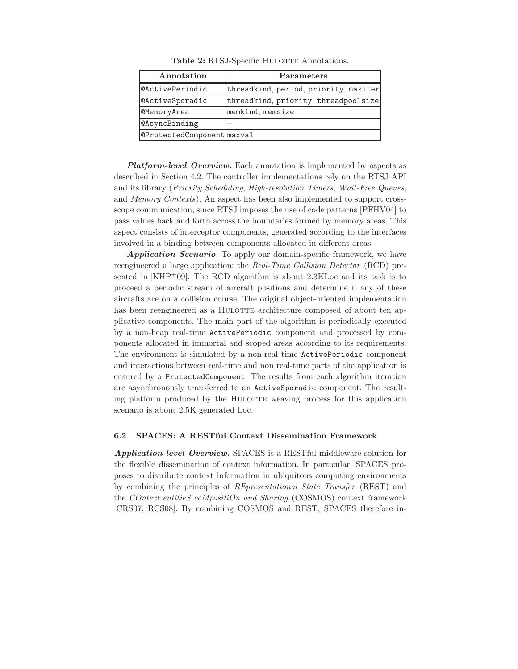| Annotation                 | <b>Parameters</b>                     |
|----------------------------|---------------------------------------|
| <b>@ActivePeriodic</b>     | threadkind, period, priority, maxiter |
| <b>@ActiveSporadic</b>     | threadkind, priority, threadpoolsize  |
| <b>@MemoryArea</b>         | memkind, memsize                      |
| <b>@AsyncBinding</b>       |                                       |
| @ProtectedComponent maxval |                                       |

Table 2: RTSJ-Specific HULOTTE Annotations.

*Platform-level Overview.* Each annotation is implemented by aspects as described in Section 4.2. The controller implementations rely on the RTSJ API and its library (*Priority Scheduling*, *High-resolution Timers*, *Wait-Free Queues*, and *Memory Contexts*). An aspect has been also implemented to support crossscope communication, since RTSJ imposes the use of code patterns [PFHV04] to pass values back and forth across the boundaries formed by memory areas. This aspect consists of interceptor components, generated according to the interfaces involved in a binding between components allocated in different areas.

*Application Scenario.* To apply our domain-specific framework, we have reengineered a large application: the *Real-Time Collision Detector* (RCD) presented in  $[KHP^+09]$ . The RCD algorithm is about 2.3KLoc and its task is to proceed a periodic stream of aircraft positions and determine if any of these aircrafts are on a collision course. The original object-oriented implementation has been reengineered as a HULOTTE architecture composed of about ten applicative components. The main part of the algorithm is periodically executed by a non-heap real-time ActivePeriodic component and processed by components allocated in immortal and scoped areas according to its requirements. The environment is simulated by a non-real time ActivePeriodic component and interactions between real-time and non real-time parts of the application is ensured by a ProtectedComponent. The results from each algorithm iteration are asynchronously transferred to an ActiveSporadic component. The resulting platform produced by the HULOTTE weaving process for this application scenario is about 2.5K generated Loc.

#### **6.2 SPACES: A RESTful Context Dissemination Framework**

*Application-level Overview.* SPACES is a RESTful middleware solution for the flexible dissemination of context information. In particular, SPACES proposes to distribute context information in ubiquitous computing environments by combining the principles of *REpresentational State Transfer* (REST) and the *COntext entitieS coMpositiOn and Sharing* (COSMOS) context framework [CRS07, RCS08]. By combining COSMOS and REST, SPACES therefore in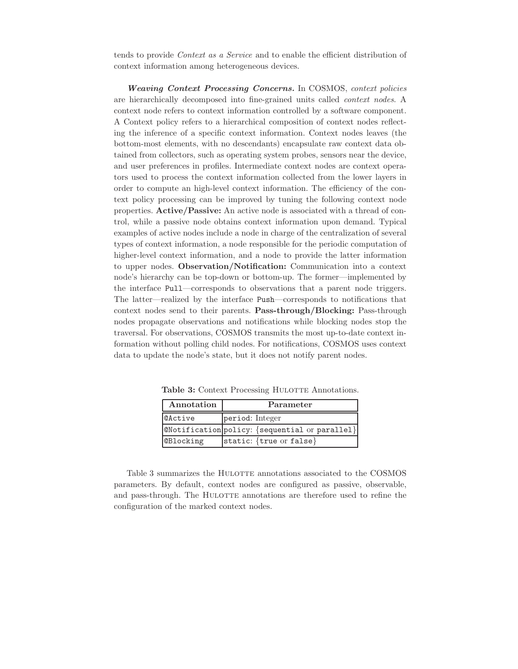tends to provide *Context as a Service* and to enable the efficient distribution of context information among heterogeneous devices.

*Weaving Context Processing Concerns.* In COSMOS, *context policies* are hierarchically decomposed into fine-grained units called *context nodes*. A context node refers to context information controlled by a software component. A Context policy refers to a hierarchical composition of context nodes reflecting the inference of a specific context information. Context nodes leaves (the bottom-most elements, with no descendants) encapsulate raw context data obtained from collectors, such as operating system probes, sensors near the device, and user preferences in profiles. Intermediate context nodes are context operators used to process the context information collected from the lower layers in order to compute an high-level context information. The efficiency of the context policy processing can be improved by tuning the following context node properties. **Active/Passive:** An active node is associated with a thread of control, while a passive node obtains context information upon demand. Typical examples of active nodes include a node in charge of the centralization of several types of context information, a node responsible for the periodic computation of higher-level context information, and a node to provide the latter information to upper nodes. **Observation/Notification:** Communication into a context node's hierarchy can be top-down or bottom-up. The former—implemented by the interface Pull—corresponds to observations that a parent node triggers. The latter—realized by the interface Push—corresponds to notifications that context nodes send to their parents. **Pass-through/Blocking:** Pass-through nodes propagate observations and notifications while blocking nodes stop the traversal. For observations, COSMOS transmits the most up-to-date context information without polling child nodes. For notifications, COSMOS uses context data to update the node's state, but it does not notify parent nodes.

| Annotation       | Parameter                                              |
|------------------|--------------------------------------------------------|
| <b>@Active</b>   | period: Integer                                        |
|                  | $ $ @Notification $ $ policy: {sequential or parallel} |
| <b>@Blocking</b> | static: {true or false}                                |

**Table 3:** Context Processing HULOTTE Annotations.

Table 3 summarizes the HULOTTE annotations associated to the COSMOS parameters. By default, context nodes are configured as passive, observable, and pass-through. The HULOTTE annotations are therefore used to refine the configuration of the marked context nodes.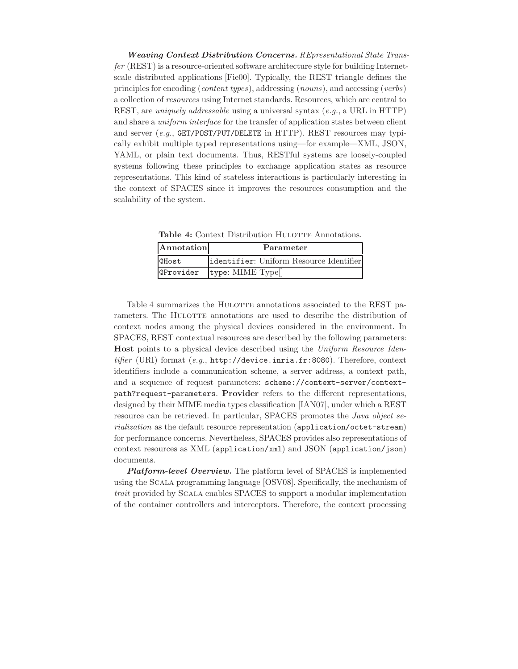*Weaving Context Distribution Concerns. REpresentational State Transfer* (REST) is a resource-oriented software architecture style for building Internetscale distributed applications [Fie00]. Typically, the REST triangle defines the principles for encoding (*content types*), addressing (*nouns*), and accessing (*verbs*) a collection of *resources* using Internet standards. Resources, which are central to REST, are *uniquely addressable* using a universal syntax (*e.g.*, a URL in HTTP) and share a *uniform interface* for the transfer of application states between client and server  $(e.q.,$  GET/POST/PUT/DELETE in HTTP). REST resources may typically exhibit multiple typed representations using—for example—XML, JSON, YAML, or plain text documents. Thus, RESTful systems are loosely-coupled systems following these principles to exchange application states as resource representations. This kind of stateless interactions is particularly interesting in the context of SPACES since it improves the resources consumption and the scalability of the system.

**Table 4:** Context Distribution HULOTTE Annotations.

| Annotation       | Parameter                               |
|------------------|-----------------------------------------|
| <b>@Host</b>     | identifier: Uniform Resource Identifier |
| <b>@Provider</b> | type: MIME Type[]                       |

Table 4 summarizes the HULOTTE annotations associated to the REST parameters. The HULOTTE annotations are used to describe the distribution of context nodes among the physical devices considered in the environment. In SPACES, REST contextual resources are described by the following parameters: **Host** points to a physical device described using the *Uniform Resource Identifier* (URI) format (*e.g.*, http://device.inria.fr:8080). Therefore, context identifiers include a communication scheme, a server address, a context path, and a sequence of request parameters: scheme://context-server/contextpath?request-parameters. **Provider** refers to the different representations, designed by their MIME media types classification [IAN07], under which a REST resource can be retrieved. In particular, SPACES promotes the *Java object serialization* as the default resource representation (application/octet-stream) for performance concerns. Nevertheless, SPACES provides also representations of context resources as XML (application/xml) and JSON (application/json) documents.

*Platform-level Overview.* The platform level of SPACES is implemented using the Scala programming language [OSV08]. Specifically, the mechanism of *trait* provided by Scala enables SPACES to support a modular implementation of the container controllers and interceptors. Therefore, the context processing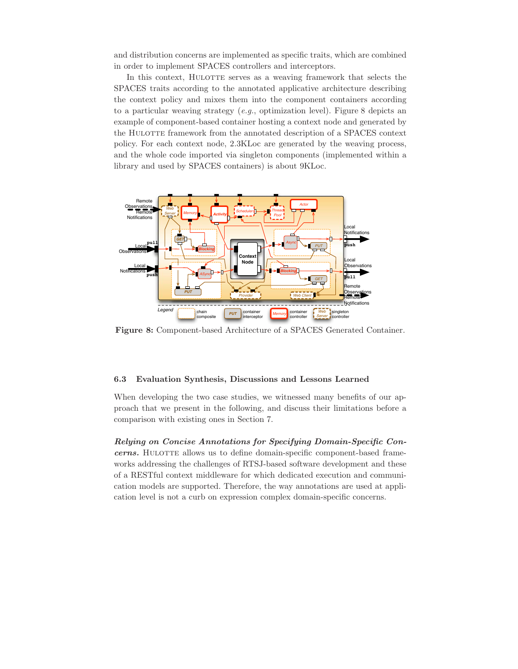and distribution concerns are implemented as specific traits, which are combined in order to implement SPACES controllers and interceptors.

In this context, HULOTTE serves as a weaving framework that selects the SPACES traits according to the annotated applicative architecture describing the context policy and mixes them into the component containers according to a particular weaving strategy (*e.g.*, optimization level). Figure 8 depicts an example of component-based container hosting a context node and generated by the HULOTTE framework from the annotated description of a SPACES context policy. For each context node, 2.3KLoc are generated by the weaving process, and the whole code imported via singleton components (implemented within a library and used by SPACES containers) is about 9KLoc.



**Figure 8:** Component-based Architecture of a SPACES Generated Container.

#### **6.3 Evaluation Synthesis, Discussions and Lessons Learned**

When developing the two case studies, we witnessed many benefits of our approach that we present in the following, and discuss their limitations before a comparison with existing ones in Section 7.

*Relying on Concise Annotations for Specifying Domain-Specific Concerns.* HULOTTE allows us to define domain-specific component-based frameworks addressing the challenges of RTSJ-based software development and these of a RESTful context middleware for which dedicated execution and communication models are supported. Therefore, the way annotations are used at application level is not a curb on expression complex domain-specific concerns.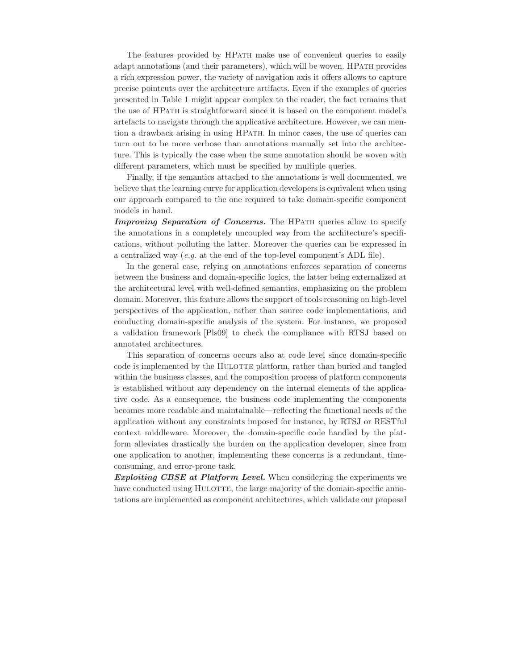The features provided by HPATH make use of convenient queries to easily adapt annotations (and their parameters), which will be woven. HPath provides a rich expression power, the variety of navigation axis it offers allows to capture precise pointcuts over the architecture artifacts. Even if the examples of queries presented in Table 1 might appear complex to the reader, the fact remains that the use of HPath is straightforward since it is based on the component model's artefacts to navigate through the applicative architecture. However, we can mention a drawback arising in using HPath. In minor cases, the use of queries can turn out to be more verbose than annotations manually set into the architecture. This is typically the case when the same annotation should be woven with different parameters, which must be specified by multiple queries.

Finally, if the semantics attached to the annotations is well documented, we believe that the learning curve for application developers is equivalent when using our approach compared to the one required to take domain-specific component models in hand.

*Improving Separation of Concerns.* The HPATH queries allow to specify the annotations in a completely uncoupled way from the architecture's specifications, without polluting the latter. Moreover the queries can be expressed in a centralized way (*e.g.* at the end of the top-level component's ADL file).

In the general case, relying on annotations enforces separation of concerns between the business and domain-specific logics, the latter being externalized at the architectural level with well-defined semantics, emphasizing on the problem domain. Moreover, this feature allows the support of tools reasoning on high-level perspectives of the application, rather than source code implementations, and conducting domain-specific analysis of the system. For instance, we proposed a validation framework [Pls09] to check the compliance with RTSJ based on annotated architectures.

This separation of concerns occurs also at code level since domain-specific code is implemented by the HULOTTE platform, rather than buried and tangled within the business classes, and the composition process of platform components is established without any dependency on the internal elements of the applicative code. As a consequence, the business code implementing the components becomes more readable and maintainable—reflecting the functional needs of the application without any constraints imposed for instance, by RTSJ or RESTful context middleware. Moreover, the domain-specific code handled by the platform alleviates drastically the burden on the application developer, since from one application to another, implementing these concerns is a redundant, timeconsuming, and error-prone task.

*Exploiting CBSE at Platform Level.* When considering the experiments we have conducted using HULOTTE, the large majority of the domain-specific annotations are implemented as component architectures, which validate our proposal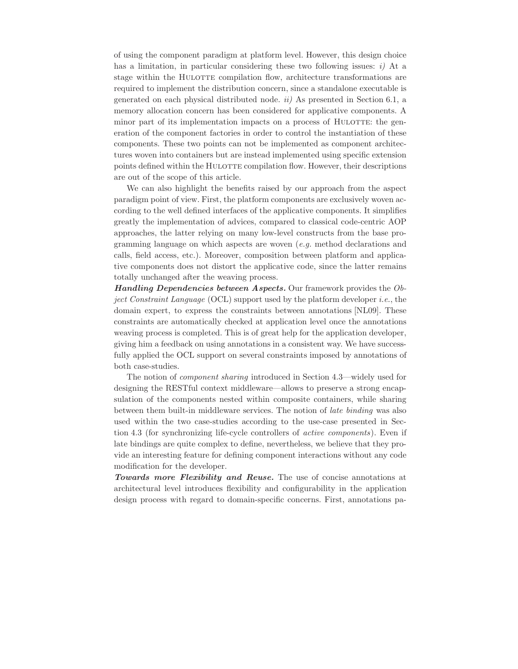of using the component paradigm at platform level. However, this design choice has a limitation, in particular considering these two following issues: *i)* At a stage within the HULOTTE compilation flow, architecture transformations are required to implement the distribution concern, since a standalone executable is generated on each physical distributed node. *ii)* As presented in Section 6.1, a memory allocation concern has been considered for applicative components. A minor part of its implementation impacts on a process of HULOTTE: the generation of the component factories in order to control the instantiation of these components. These two points can not be implemented as component architectures woven into containers but are instead implemented using specific extension points defined within the HULOTTE compilation flow. However, their descriptions are out of the scope of this article.

We can also highlight the benefits raised by our approach from the aspect paradigm point of view. First, the platform components are exclusively woven according to the well defined interfaces of the applicative components. It simplifies greatly the implementation of advices, compared to classical code-centric AOP approaches, the latter relying on many low-level constructs from the base programming language on which aspects are woven (*e.g.* method declarations and calls, field access, etc.). Moreover, composition between platform and applicative components does not distort the applicative code, since the latter remains totally unchanged after the weaving process.

*Handling Dependencies between Aspects.* Our framework provides the *Object Constraint Language* (OCL) support used by the platform developer *i.e.*, the domain expert, to express the constraints between annotations [NL09]. These constraints are automatically checked at application level once the annotations weaving process is completed. This is of great help for the application developer, giving him a feedback on using annotations in a consistent way. We have successfully applied the OCL support on several constraints imposed by annotations of both case-studies.

The notion of *component sharing* introduced in Section 4.3—widely used for designing the RESTful context middleware—allows to preserve a strong encapsulation of the components nested within composite containers, while sharing between them built-in middleware services. The notion of *late binding* was also used within the two case-studies according to the use-case presented in Section 4.3 (for synchronizing life-cycle controllers of *active components*). Even if late bindings are quite complex to define, nevertheless, we believe that they provide an interesting feature for defining component interactions without any code modification for the developer.

*Towards more Flexibility and Reuse.* The use of concise annotations at architectural level introduces flexibility and configurability in the application design process with regard to domain-specific concerns. First, annotations pa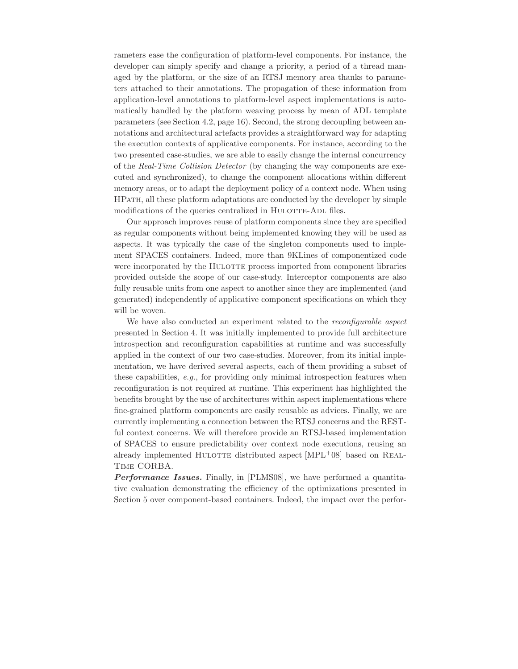rameters ease the configuration of platform-level components. For instance, the developer can simply specify and change a priority, a period of a thread managed by the platform, or the size of an RTSJ memory area thanks to parameters attached to their annotations. The propagation of these information from application-level annotations to platform-level aspect implementations is automatically handled by the platform weaving process by mean of ADL template parameters (see Section 4.2, page 16). Second, the strong decoupling between annotations and architectural artefacts provides a straightforward way for adapting the execution contexts of applicative components. For instance, according to the two presented case-studies, we are able to easily change the internal concurrency of the *Real-Time Collision Detector* (by changing the way components are executed and synchronized), to change the component allocations within different memory areas, or to adapt the deployment policy of a context node. When using HPath, all these platform adaptations are conducted by the developer by simple modifications of the queries centralized in HULOTTE-ADL files.

Our approach improves reuse of platform components since they are specified as regular components without being implemented knowing they will be used as aspects. It was typically the case of the singleton components used to implement SPACES containers. Indeed, more than 9KLines of componentized code were incorporated by the HULOTTE process imported from component libraries provided outside the scope of our case-study. Interceptor components are also fully reusable units from one aspect to another since they are implemented (and generated) independently of applicative component specifications on which they will be woven.

We have also conducted an experiment related to the *reconfigurable aspect* presented in Section 4. It was initially implemented to provide full architecture introspection and reconfiguration capabilities at runtime and was successfully applied in the context of our two case-studies. Moreover, from its initial implementation, we have derived several aspects, each of them providing a subset of these capabilities, *e.g.*, for providing only minimal introspection features when reconfiguration is not required at runtime. This experiment has highlighted the benefits brought by the use of architectures within aspect implementations where fine-grained platform components are easily reusable as advices. Finally, we are currently implementing a connection between the RTSJ concerns and the RESTful context concerns. We will therefore provide an RTSJ-based implementation of SPACES to ensure predictability over context node executions, reusing an already implemented HULOTTE distributed aspect  $[MPL+08]$  based on REAL-Time CORBA.

*Performance Issues.* Finally, in [PLMS08], we have performed a quantitative evaluation demonstrating the efficiency of the optimizations presented in Section 5 over component-based containers. Indeed, the impact over the perfor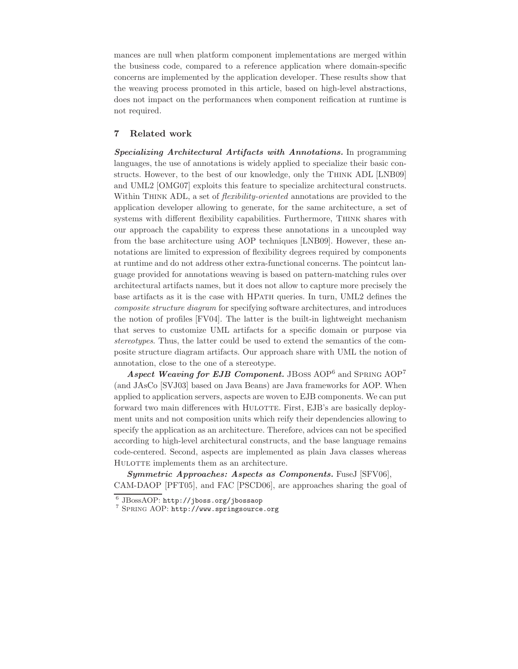mances are null when platform component implementations are merged within the business code, compared to a reference application where domain-specific concerns are implemented by the application developer. These results show that the weaving process promoted in this article, based on high-level abstractions, does not impact on the performances when component reification at runtime is not required.

#### **7 Related work**

*Specializing Architectural Artifacts with Annotations.* In programming languages, the use of annotations is widely applied to specialize their basic constructs. However, to the best of our knowledge, only the Think ADL [LNB09] and UML2 [OMG07] exploits this feature to specialize architectural constructs. Within Think ADL, a set of *flexibility-oriented* annotations are provided to the application developer allowing to generate, for the same architecture, a set of systems with different flexibility capabilities. Furthermore, THINK shares with our approach the capability to express these annotations in a uncoupled way from the base architecture using AOP techniques [LNB09]. However, these annotations are limited to expression of flexibility degrees required by components at runtime and do not address other extra-functional concerns. The pointcut language provided for annotations weaving is based on pattern-matching rules over architectural artifacts names, but it does not allow to capture more precisely the base artifacts as it is the case with HPATH queries. In turn, UML2 defines the *composite structure diagram* for specifying software architectures, and introduces the notion of profiles [FV04]. The latter is the built-in lightweight mechanism that serves to customize UML artifacts for a specific domain or purpose via *stereotypes*. Thus, the latter could be used to extend the semantics of the composite structure diagram artifacts. Our approach share with UML the notion of annotation, close to the one of a stereotype.

*Aspect Weaving for EJB Component.* JBoss AOP<sup>6</sup> and Spring AOP<sup>7</sup> (and JAsCo [SVJ03] based on Java Beans) are Java frameworks for AOP. When applied to application servers, aspects are woven to EJB components. We can put forward two main differences with HULOTTE. First, EJB's are basically deployment units and not composition units which reify their dependencies allowing to specify the application as an architecture. Therefore, advices can not be specified according to high-level architectural constructs, and the base language remains code-centered. Second, aspects are implemented as plain Java classes whereas HULOTTE implements them as an architecture.

*Symmetric Approaches: Aspects as Components.* FuseJ [SFV06], CAM-DAOP [PFT05], and FAC [PSCD06], are approaches sharing the goal of

<sup>6</sup> JBossAOP: http://jboss.org/jbossaop <sup>7</sup> Spring AOP: http://www.springsource.org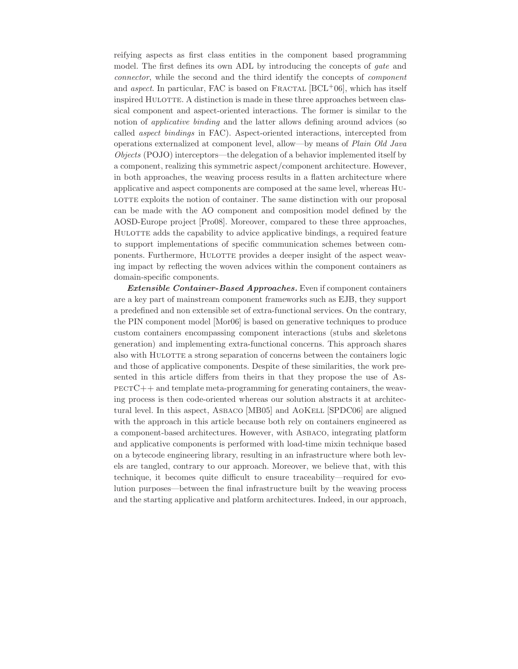reifying aspects as first class entities in the component based programming model. The first defines its own ADL by introducing the concepts of *gate* and *connector*, while the second and the third identify the concepts of *component* and *aspect*. In particular, FAC is based on FRACTAL  $[BCL+06]$ , which has itself inspired HULOTTE. A distinction is made in these three approaches between classical component and aspect-oriented interactions. The former is similar to the notion of *applicative binding* and the latter allows defining around advices (so called *aspect bindings* in FAC). Aspect-oriented interactions, intercepted from operations externalized at component level, allow—by means of *Plain Old Java Objects* (POJO) interceptors—the delegation of a behavior implemented itself by a component, realizing this symmetric aspect/component architecture. However, in both approaches, the weaving process results in a flatten architecture where applicative and aspect components are composed at the same level, whereas Hu-LOTTE exploits the notion of container. The same distinction with our proposal can be made with the AO component and composition model defined by the AOSD-Europe project [Pro08]. Moreover, compared to these three approaches, HULOTTE adds the capability to advice applicative bindings, a required feature to support implementations of specific communication schemes between components. Furthermore, HULOTTE provides a deeper insight of the aspect weaving impact by reflecting the woven advices within the component containers as domain-specific components.

*Extensible Container-Based Approaches.* Even if component containers are a key part of mainstream component frameworks such as EJB, they support a predefined and non extensible set of extra-functional services. On the contrary, the PIN component model [Mor06] is based on generative techniques to produce custom containers encompassing component interactions (stubs and skeletons generation) and implementing extra-functional concerns. This approach shares also with HULOTTE a strong separation of concerns between the containers logic and those of applicative components. Despite of these similarities, the work presented in this article differs from theirs in that they propose the use of As- $PECTC++$  and template meta-programming for generating containers, the weaving process is then code-oriented whereas our solution abstracts it at architectural level. In this aspect, ASBACO [MB05] and AOKELL [SPDC06] are aligned with the approach in this article because both rely on containers engineered as a component-based architectures. However, with Asbaco, integrating platform and applicative components is performed with load-time mixin technique based on a bytecode engineering library, resulting in an infrastructure where both levels are tangled, contrary to our approach. Moreover, we believe that, with this technique, it becomes quite difficult to ensure traceability—required for evolution purposes—between the final infrastructure built by the weaving process and the starting applicative and platform architectures. Indeed, in our approach,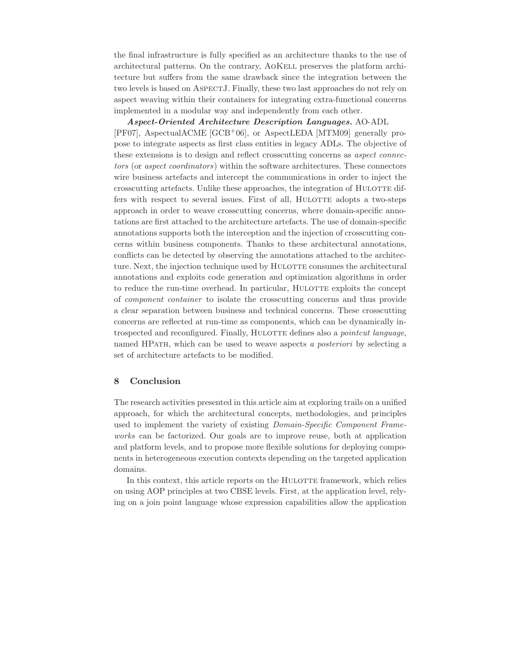the final infrastructure is fully specified as an architecture thanks to the use of architectural patterns. On the contrary, AoKell preserves the platform architecture but suffers from the same drawback since the integration between the two levels is based on ASPECTJ. Finally, these two last approaches do not rely on aspect weaving within their containers for integrating extra-functional concerns implemented in a modular way and independently from each other.

#### *Aspect-Oriented Architecture Description Languages.* AO-ADL

[PF07], AspectualACME [GCB+06], or AspectLEDA [MTM09] generally propose to integrate aspects as first class entities in legacy ADLs. The objective of these extensions is to design and reflect crosscutting concerns as *aspect connectors* (or *aspect coordinators*) within the software architectures. These connectors wire business artefacts and intercept the communications in order to inject the crosscutting artefacts. Unlike these approaches, the integration of HULOTTE differs with respect to several issues. First of all, HULOTTE adopts a two-steps approach in order to weave crosscutting concerns, where domain-specific annotations are first attached to the architecture artefacts. The use of domain-specific annotations supports both the interception and the injection of crosscutting concerns within business components. Thanks to these architectural annotations, conflicts can be detected by observing the annotations attached to the architecture. Next, the injection technique used by HULOTTE consumes the architectural annotations and exploits code generation and optimization algorithms in order to reduce the run-time overhead. In particular, HULOTTE exploits the concept of *component container* to isolate the crosscutting concerns and thus provide a clear separation between business and technical concerns. These crosscutting concerns are reflected at run-time as components, which can be dynamically introspected and reconfigured. Finally, HULOTTE defines also a *pointcut language*, named HPath, which can be used to weave aspects *a posteriori* by selecting a set of architecture artefacts to be modified.

#### **8 Conclusion**

The research activities presented in this article aim at exploring trails on a unified approach, for which the architectural concepts, methodologies, and principles used to implement the variety of existing *Domain-Specific Component Frameworks* can be factorized. Our goals are to improve reuse, both at application and platform levels, and to propose more flexible solutions for deploying components in heterogeneous execution contexts depending on the targeted application domains.

In this context, this article reports on the HULOTTE framework, which relies on using AOP principles at two CBSE levels. First, at the application level, relying on a join point language whose expression capabilities allow the application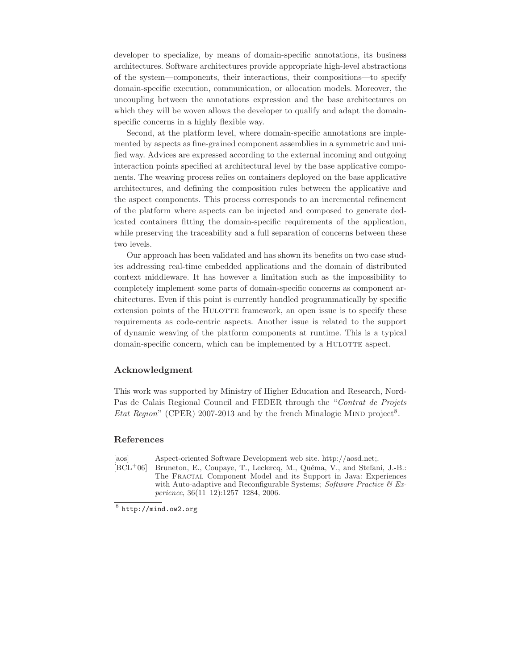developer to specialize, by means of domain-specific annotations, its business architectures. Software architectures provide appropriate high-level abstractions of the system—components, their interactions, their compositions—to specify domain-specific execution, communication, or allocation models. Moreover, the uncoupling between the annotations expression and the base architectures on which they will be woven allows the developer to qualify and adapt the domainspecific concerns in a highly flexible way.

Second, at the platform level, where domain-specific annotations are implemented by aspects as fine-grained component assemblies in a symmetric and unified way. Advices are expressed according to the external incoming and outgoing interaction points specified at architectural level by the base applicative components. The weaving process relies on containers deployed on the base applicative architectures, and defining the composition rules between the applicative and the aspect components. This process corresponds to an incremental refinement of the platform where aspects can be injected and composed to generate dedicated containers fitting the domain-specific requirements of the application, while preserving the traceability and a full separation of concerns between these two levels.

Our approach has been validated and has shown its benefits on two case studies addressing real-time embedded applications and the domain of distributed context middleware. It has however a limitation such as the impossibility to completely implement some parts of domain-specific concerns as component architectures. Even if this point is currently handled programmatically by specific extension points of the HULOTTE framework, an open issue is to specify these requirements as code-centric aspects. Another issue is related to the support of dynamic weaving of the platform components at runtime. This is a typical domain-specific concern, which can be implemented by a HULOTTE aspect.

#### **Acknowledgment**

This work was supported by Ministry of Higher Education and Research, Nord-Pas de Calais Regional Council and FEDER through the "*Contrat de Projets Etat Region*" (CPER) 2007-2013 and by the french Minalogic MIND project<sup>8</sup>.

#### **References**

[aos] Aspect-oriented Software Development web site. http://aosd.net;.

[BCL<sup>+</sup>06] Bruneton, E., Coupaye, T., Leclercq, M., Quéma, V., and Stefani, J.-B.: The Fractal Component Model and its Support in Java: Experiences with Auto-adaptive and Reconfigurable Systems; *Software Practice & Experience*, 36(11–12):1257–1284, 2006.

 $8$  http://mind.ow2.org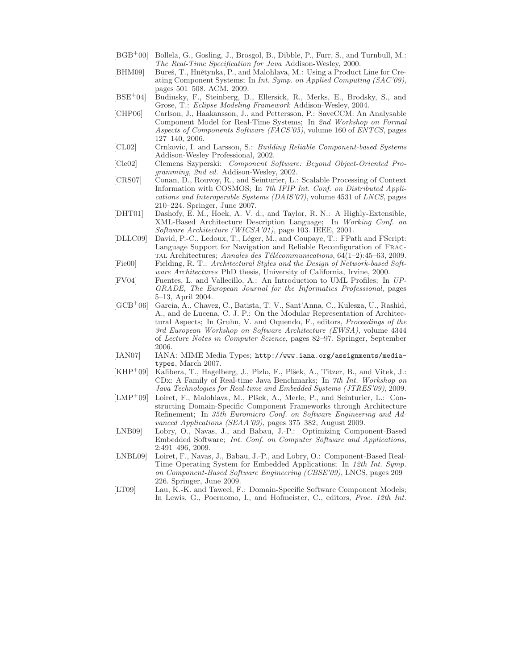- [BGB<sup>+</sup>00] Bollela, G., Gosling, J., Brosgol, B., Dibble, P., Furr, S., and Turnbull, M.: *The Real-Time Specification for Java* Addison-Wesley, 2000.
- [BHM09] Bureš, T., Hnětynka, P., and Malohlava, M.: Using a Product Line for Creating Component Systems; In *Int. Symp. on Applied Computing (SAC'09)*, pages 501–508. ACM, 2009.
- [BSE<sup>+</sup>04] Budinsky, F., Steinberg, D., Ellersick, R., Merks, E., Brodsky, S., and Grose, T.: *Eclipse Modeling Framework* Addison-Wesley, 2004.
- [CHP06] Carlson, J., Haakansson, J., and Pettersson, P.: SaveCCM: An Analysable Component Model for Real-Time Systems; In *2nd Workshop on Formal Aspects of Components Software (FACS'05)*, volume 160 of *ENTCS*, pages 127–140, 2006.
- [CL02] Crnkovic, I. and Larsson, S.: *Building Reliable Component-based Systems* Addison-Wesley Professional, 2002.
- [Cle02] Clemens Szyperski: *Component Software: Beyond Object-Oriented Programming, 2nd ed.* Addison-Wesley, 2002.
- [CRS07] Conan, D., Rouvoy, R., and Seinturier, L.: Scalable Processing of Context Information with COSMOS; In *7th IFIP Int. Conf. on Distributed Applications and Interoperable Systems (DAIS'07)*, volume 4531 of *LNCS*, pages 210–224. Springer, June 2007.
- [DHT01] Dashofy, E. M., Hoek, A. V. d., and Taylor, R. N.: A Highly-Extensible, XML-Based Architecture Description Language; In *Working Conf. on Software Architecture (WICSA'01)*, page 103. IEEE, 2001.
- [DLLC09] David, P.-C., Ledoux, T., L´eger, M., and Coupaye, T.: FPath and FScript: Language Support for Navigation and Reliable Reconfiguration of Fractal Architectures; *Annales des T´el´ecommunications*, 64(1–2):45–63, 2009.
- [Fie00] Fielding, R. T.: *Architectural Styles and the Design of Network-based Software Architectures* PhD thesis, University of California, Irvine, 2000.
- [FV04] Fuentes, L. and Vallecillo, A.: An Introduction to UML Profiles; In *UP-GRADE, The European Journal for the Informatics Professional*, pages 5–13, April 2004.
- [GCB<sup>+</sup>06] Garcia, A., Chavez, C., Batista, T. V., Sant'Anna, C., Kulesza, U., Rashid, A., and de Lucena, C. J. P.: On the Modular Representation of Architectural Aspects; In Gruhn, V. and Oquendo, F., editors, *Proceedings of the 3rd European Workshop on Software Architecture (EWSA)*, volume 4344 of *Lecture Notes in Computer Science*, pages 82–97. Springer, September 2006.
- [IAN07] IANA: MIME Media Types; http://www.iana.org/assignments/mediatypes, March 2007.
- [KHP<sup>+</sup>09] Kalibera, T., Hagelberg, J., Pizlo, F., Plšek, A., Titzer, B., and Vitek, J.: CDx: A Family of Real-time Java Benchmarks; In *7th Int. Workshop on Java Technologies for Real-time and Embedded Systems (JTRES'09)*, 2009.
- $[LMP^+09]$  Loiret, F., Malohlava, M., Plšek, A., Merle, P., and Seinturier, L.: Constructing Domain-Specific Component Frameworks through Architecture Refinement; In *35th Euromicro Conf. on Software Engineering and Advanced Applications (SEAA'09)*, pages 375–382, August 2009.
- [LNB09] Lobry, O., Navas, J., and Babau, J.-P.: Optimizing Component-Based Embedded Software; *Int. Conf. on Computer Software and Applications*, 2:491–496, 2009.
- [LNBL09] Loiret, F., Navas, J., Babau, J.-P., and Lobry, O.: Component-Based Real-Time Operating System for Embedded Applications; In *12th Int. Symp. on Component-Based Software Engineering (CBSE'09)*, LNCS, pages 209– 226. Springer, June 2009.
- [LT09] Lau, K.-K. and Taweel, F.: Domain-Specific Software Component Models; In Lewis, G., Poernomo, I., and Hofmeister, C., editors, *Proc. 12th Int.*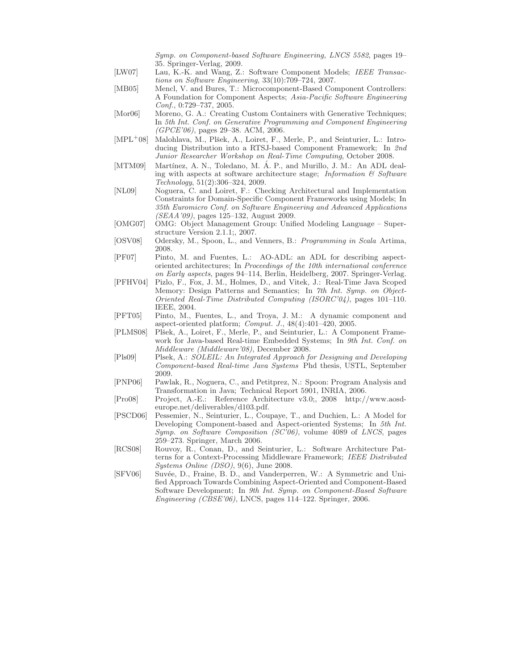*Symp. on Component-based Software Engineering, LNCS 5582*, pages 19– 35. Springer-Verlag, 2009.

- [LW07] Lau, K.-K. and Wang, Z.: Software Component Models; *IEEE Transactions on Software Engineering*, 33(10):709–724, 2007.
- [MB05] Mencl, V. and Bures, T.: Microcomponent-Based Component Controllers: A Foundation for Component Aspects; *Asia-Pacific Software Engineering Conf.*, 0:729–737, 2005.
- [Mor06] Moreno, G. A.: Creating Custom Containers with Generative Techniques; In *5th Int. Conf. on Generative Programming and Component Engineering (GPCE'06)*, pages 29–38. ACM, 2006.
- [MPL<sup>+</sup>08] Malohlava, M., Plšek, A., Loiret, F., Merle, P., and Seinturier, L.: Introducing Distribution into a RTSJ-based Component Framework; In *2nd Junior Researcher Workshop on Real-Time Computing*, October 2008.
- [MTM09] Martínez, A. N., Toledano, M. Á. P., and Murillo, J. M.: An ADL dealing with aspects at software architecture stage; *Information & Software Technology*, 51(2):306–324, 2009.
- [NL09] Noguera, C. and Loiret, F.: Checking Architectural and Implementation Constraints for Domain-Specific Component Frameworks using Models; In *35th Euromicro Conf. on Software Engineering and Advanced Applications (SEAA'09)*, pages 125–132, August 2009.
- [OMG07] OMG: Object Management Group: Unified Modeling Language Superstructure Version 2.1.1;, 2007.
- [OSV08] Odersky, M., Spoon, L., and Venners, B.: *Programming in Scala* Artima, 2008.
- [PF07] Pinto, M. and Fuentes, L.: AO-ADL: an ADL for describing aspectoriented architectures; In *Proceedings of the 10th international conference on Early aspects*, pages 94–114, Berlin, Heidelberg, 2007. Springer-Verlag.
- [PFHV04] Pizlo, F., Fox, J. M., Holmes, D., and Vitek, J.: Real-Time Java Scoped Memory: Design Patterns and Semantics; In *7th Int. Symp. on Object-Oriented Real-Time Distributed Computing (ISORC'04)*, pages 101–110. IEEE, 2004.
- [PFT05] Pinto, M., Fuentes, L., and Troya, J. M.: A dynamic component and aspect-oriented platform; *Comput. J.*, 48(4):401–420, 2005.
- [PLMS08] Plšek, A., Loiret, F., Merle, P., and Seinturier, L.: A Component Framework for Java-based Real-time Embedded Systems; In *9th Int. Conf. on Middleware (Middleware'08)*, December 2008.
- [Pls09] Plsek, A.: *SOLEIL: An Integrated Approach for Designing and Developing Component-based Real-time Java Systems* Phd thesis, USTL, September 2009.
- [PNP06] Pawlak, R., Noguera, C., and Petitprez, N.: Spoon: Program Analysis and Transformation in Java; Technical Report 5901, INRIA, 2006.
- [Pro08] Project, A.-E.: Reference Architecture v3.0;, 2008 http://www.aosdeurope.net/deliverables/d103.pdf.
- [PSCD06] Pessemier, N., Seinturier, L., Coupaye, T., and Duchien, L.: A Model for Developing Component-based and Aspect-oriented Systems; In *5th Int. Symp. on Software Composition (SC'06)*, volume 4089 of *LNCS*, pages 259–273. Springer, March 2006.
- [RCS08] Rouvoy, R., Conan, D., and Seinturier, L.: Software Architecture Patterns for a Context-Processing Middleware Framework; *IEEE Distributed Systems Online (DSO)*, 9(6), June 2008.
- [SFV06] Suvée, D., Fraine, B. D., and Vanderperren, W.: A Symmetric and Unified Approach Towards Combining Aspect-Oriented and Component-Based Software Development; In *9th Int. Symp. on Component-Based Software Engineering (CBSE'06)*, LNCS, pages 114–122. Springer, 2006.